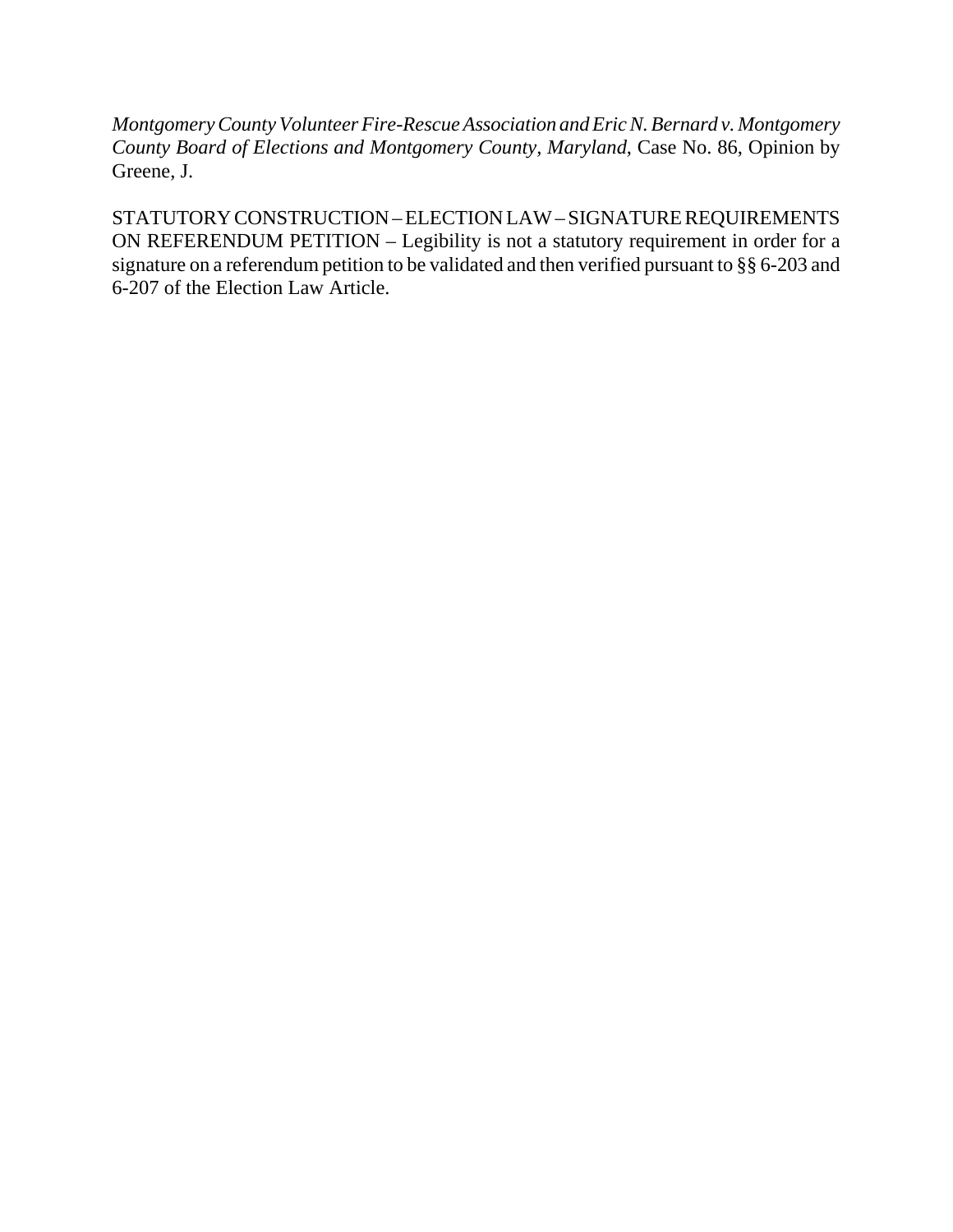*Montgomery County Volunteer Fire-Rescue Association and Eric N. Bernard v. Montgomery County Board of Elections and Montgomery County, Maryland*, Case No. 86, Opinion by Greene, J.

STATUTORY CONSTRUCTION – ELECTION LAW – SIGNATURE REQUIREMENTS ON REFERENDUM PETITION – Legibility is not a statutory requirement in order for a signature on a referendum petition to be validated and then verified pursuant to §§ 6-203 and 6-207 of the Election Law Article.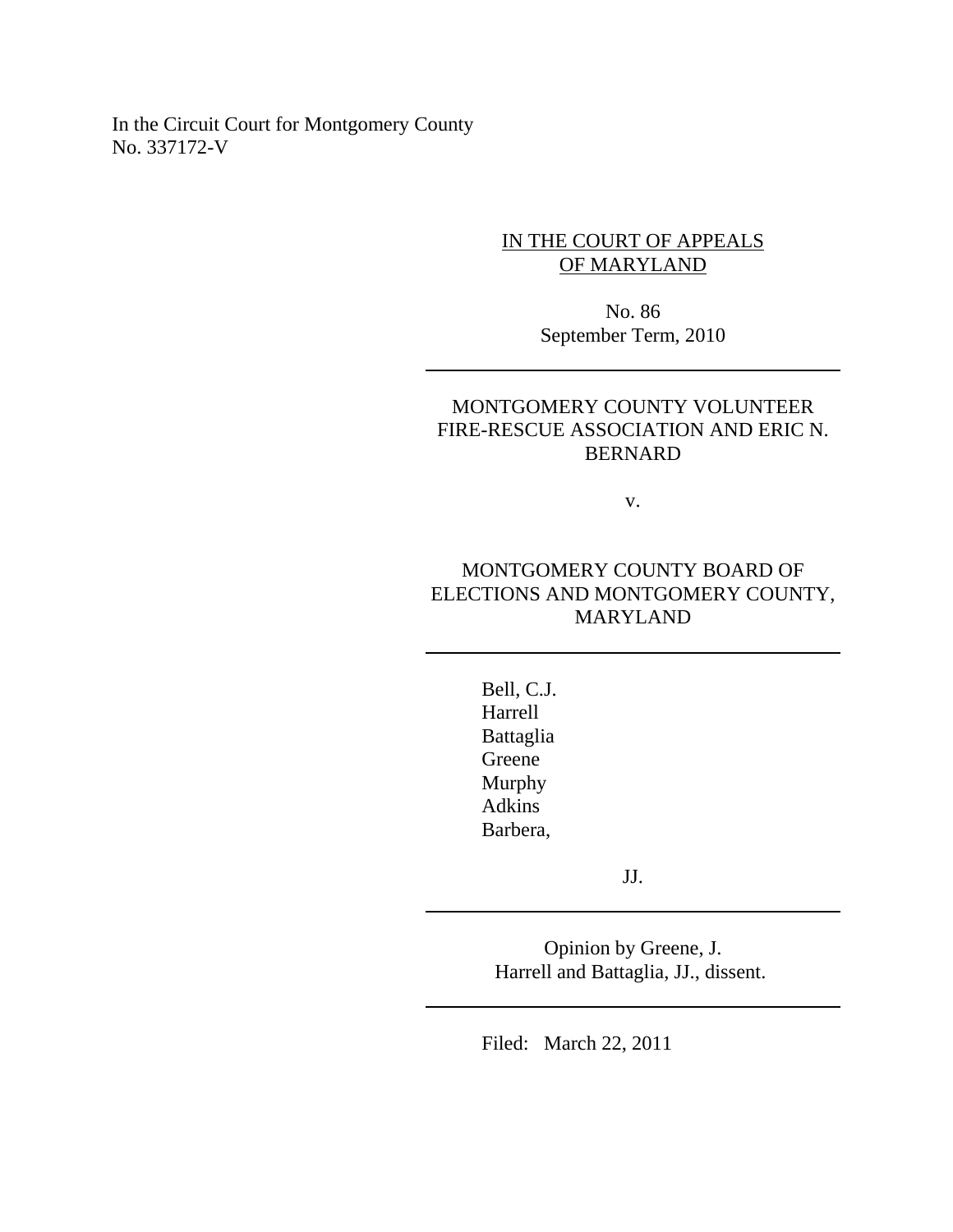In the Circuit Court for Montgomery County No. 337172-V

## IN THE COURT OF APPEALS OF MARYLAND

No. 86 September Term, 2010

## MONTGOMERY COUNTY VOLUNTEER FIRE-RESCUE ASSOCIATION AND ERIC N. BERNARD

v.

## MONTGOMERY COUNTY BOARD OF ELECTIONS AND MONTGOMERY COUNTY, MARYLAND

Bell, C.J. Harrell Battaglia Greene Murphy Adkins Barbera,

JJ.

Opinion by Greene, J. Harrell and Battaglia, JJ., dissent.

Filed: March 22, 2011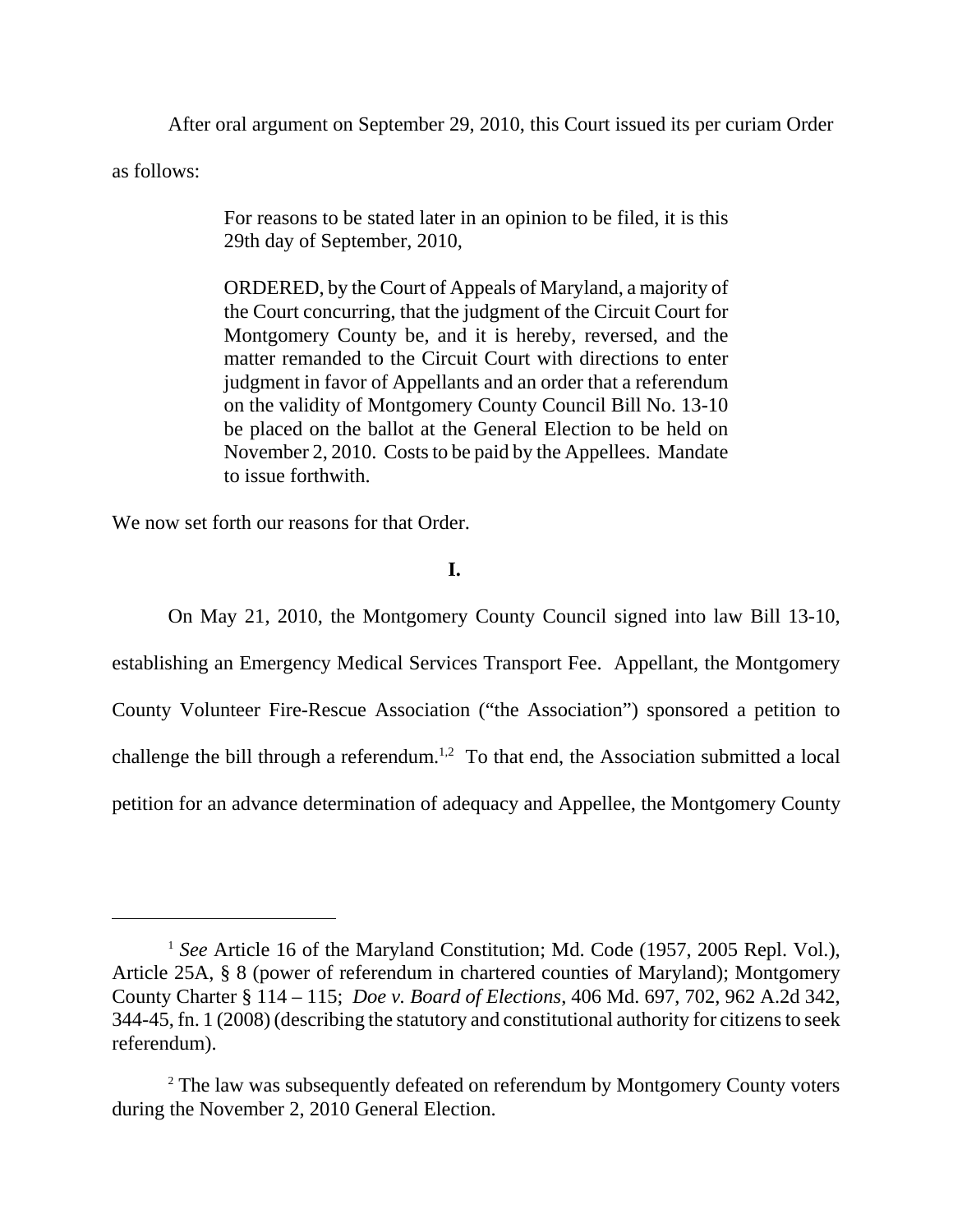After oral argument on September 29, 2010, this Court issued its per curiam Order

as follows:

For reasons to be stated later in an opinion to be filed, it is this 29th day of September, 2010,

ORDERED, by the Court of Appeals of Maryland, a majority of the Court concurring, that the judgment of the Circuit Court for Montgomery County be, and it is hereby, reversed, and the matter remanded to the Circuit Court with directions to enter judgment in favor of Appellants and an order that a referendum on the validity of Montgomery County Council Bill No. 13-10 be placed on the ballot at the General Election to be held on November 2, 2010. Costs to be paid by the Appellees. Mandate to issue forthwith.

We now set forth our reasons for that Order.

## **I.**

On May 21, 2010, the Montgomery County Council signed into law Bill 13-10, establishing an Emergency Medical Services Transport Fee. Appellant, the Montgomery County Volunteer Fire-Rescue Association ("the Association") sponsored a petition to challenge the bill through a referendum.<sup>1,2</sup> To that end, the Association submitted a local petition for an advance determination of adequacy and Appellee, the Montgomery County

<sup>&</sup>lt;sup>1</sup> *See* Article 16 of the Maryland Constitution; Md. Code (1957, 2005 Repl. Vol.), Article 25A, § 8 (power of referendum in chartered counties of Maryland); Montgomery County Charter § 114 – 115; *Doe v. Board of Elections*, 406 Md. 697, 702, 962 A.2d 342, 344-45, fn. 1 (2008) (describing the statutory and constitutional authority for citizens to seek referendum).

<sup>&</sup>lt;sup>2</sup> The law was subsequently defeated on referendum by Montgomery County voters during the November 2, 2010 General Election.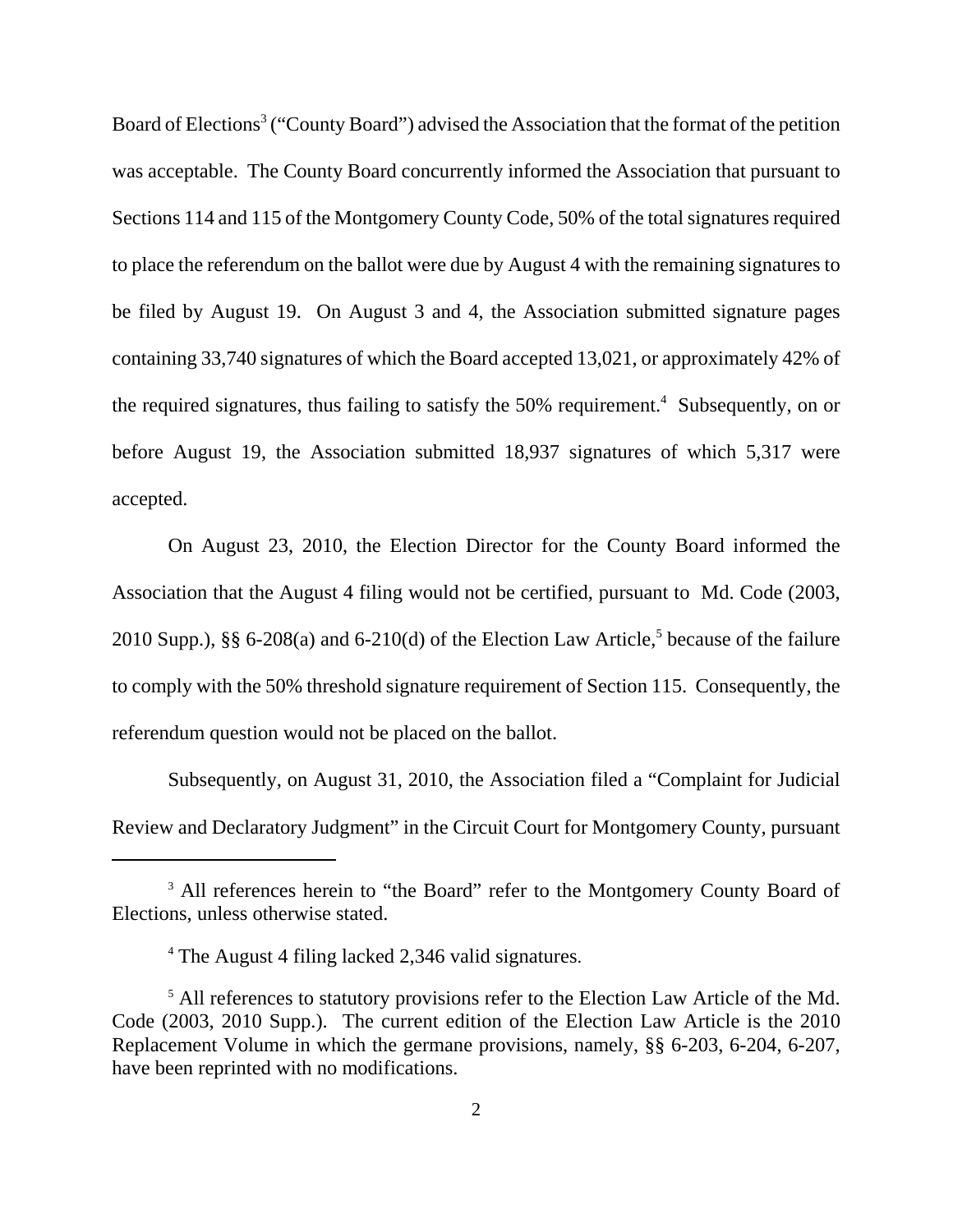Board of Elections<sup>3</sup> ("County Board") advised the Association that the format of the petition was acceptable. The County Board concurrently informed the Association that pursuant to Sections 114 and 115 of the Montgomery County Code, 50% of the total signatures required to place the referendum on the ballot were due by August 4 with the remaining signatures to be filed by August 19. On August 3 and 4, the Association submitted signature pages containing 33,740 signatures of which the Board accepted 13,021, or approximately 42% of the required signatures, thus failing to satisfy the  $50\%$  requirement.<sup>4</sup> Subsequently, on or before August 19, the Association submitted 18,937 signatures of which 5,317 were accepted.

On August 23, 2010, the Election Director for the County Board informed the Association that the August 4 filing would not be certified, pursuant to Md. Code (2003, 2010 Supp.), §§ 6-208(a) and 6-210(d) of the Election Law Article,<sup>5</sup> because of the failure to comply with the 50% threshold signature requirement of Section 115. Consequently, the referendum question would not be placed on the ballot.

Subsequently, on August 31, 2010, the Association filed a "Complaint for Judicial Review and Declaratory Judgment" in the Circuit Court for Montgomery County, pursuant

<sup>&</sup>lt;sup>3</sup> All references herein to "the Board" refer to the Montgomery County Board of Elections, unless otherwise stated.

<sup>4</sup> The August 4 filing lacked 2,346 valid signatures.

<sup>&</sup>lt;sup>5</sup> All references to statutory provisions refer to the Election Law Article of the Md. Code (2003, 2010 Supp.). The current edition of the Election Law Article is the 2010 Replacement Volume in which the germane provisions, namely, §§ 6-203, 6-204, 6-207, have been reprinted with no modifications.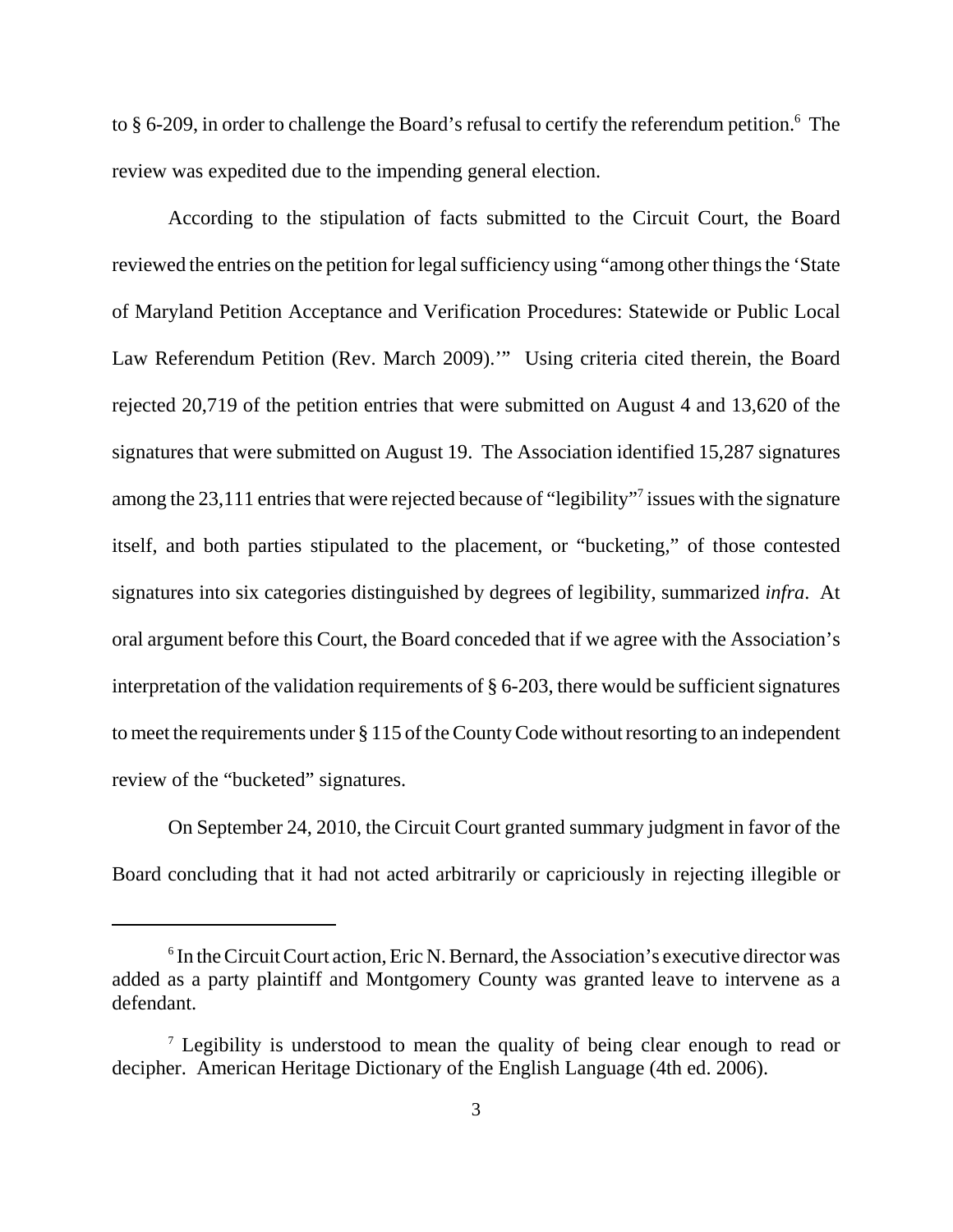to § 6-209, in order to challenge the Board's refusal to certify the referendum petition.<sup>6</sup> The review was expedited due to the impending general election.

According to the stipulation of facts submitted to the Circuit Court, the Board reviewed the entries on the petition for legal sufficiency using "among other things the 'State of Maryland Petition Acceptance and Verification Procedures: Statewide or Public Local Law Referendum Petition (Rev. March 2009).'" Using criteria cited therein, the Board rejected 20,719 of the petition entries that were submitted on August 4 and 13,620 of the signatures that were submitted on August 19. The Association identified 15,287 signatures among the 23,111 entries that were rejected because of "legibility"<sup>7</sup> issues with the signature itself, and both parties stipulated to the placement, or "bucketing," of those contested signatures into six categories distinguished by degrees of legibility, summarized *infra*. At oral argument before this Court, the Board conceded that if we agree with the Association's interpretation of the validation requirements of § 6-203, there would be sufficient signatures to meet the requirements under § 115 of the County Code without resorting to an independent review of the "bucketed" signatures.

On September 24, 2010, the Circuit Court granted summary judgment in favor of the Board concluding that it had not acted arbitrarily or capriciously in rejecting illegible or

<sup>&</sup>lt;sup>6</sup> In the Circuit Court action, Eric N. Bernard, the Association's executive director was added as a party plaintiff and Montgomery County was granted leave to intervene as a defendant.

<sup>&</sup>lt;sup>7</sup> Legibility is understood to mean the quality of being clear enough to read or decipher. American Heritage Dictionary of the English Language (4th ed. 2006).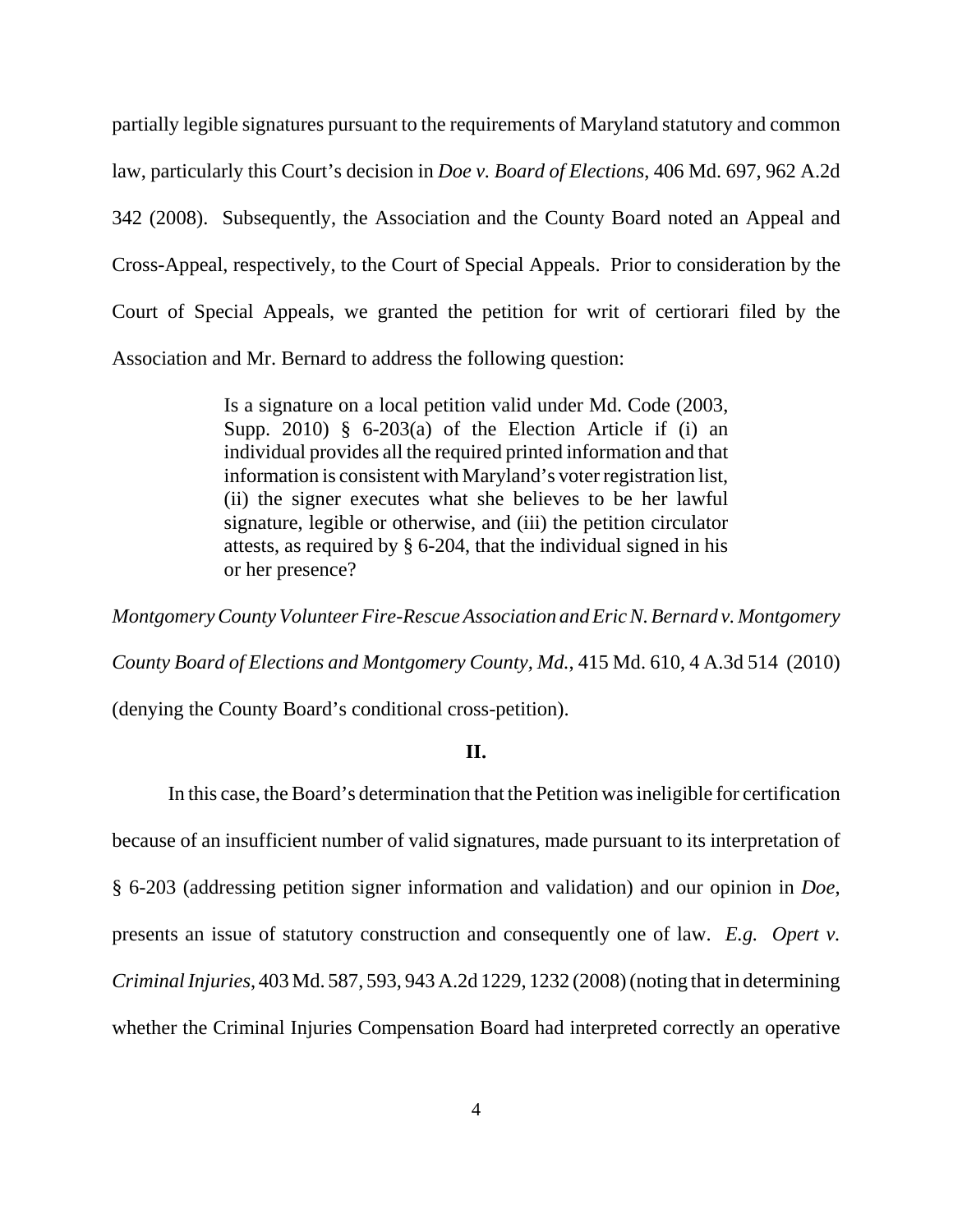partially legible signatures pursuant to the requirements of Maryland statutory and common law, particularly this Court's decision in *Doe v. Board of Elections*, 406 Md. 697, 962 A.2d 342 (2008). Subsequently, the Association and the County Board noted an Appeal and Cross-Appeal, respectively, to the Court of Special Appeals. Prior to consideration by the Court of Special Appeals, we granted the petition for writ of certiorari filed by the Association and Mr. Bernard to address the following question:

> Is a signature on a local petition valid under Md. Code (2003, Supp. 2010)  $\frac{1}{2}$  6-203(a) of the Election Article if (i) an individual provides all the required printed information and that information is consistent with Maryland's voter registration list, (ii) the signer executes what she believes to be her lawful signature, legible or otherwise, and (iii) the petition circulator attests, as required by § 6-204, that the individual signed in his or her presence?

*Montgomery County Volunteer Fire-Rescue Association and Eric N. Bernard v. Montgomery County Board of Elections and Montgomery County, Md.*, 415 Md. 610, 4 A.3d 514 (2010)

(denying the County Board's conditional cross-petition).

### **II.**

In this case, the Board's determination that the Petition was ineligible for certification because of an insufficient number of valid signatures, made pursuant to its interpretation of § 6-203 (addressing petition signer information and validation) and our opinion in *Doe*, presents an issue of statutory construction and consequently one of law. *E.g. Opert v. Criminal Injuries*, 403 Md. 587, 593, 943 A.2d 1229, 1232 (2008) (noting that in determining whether the Criminal Injuries Compensation Board had interpreted correctly an operative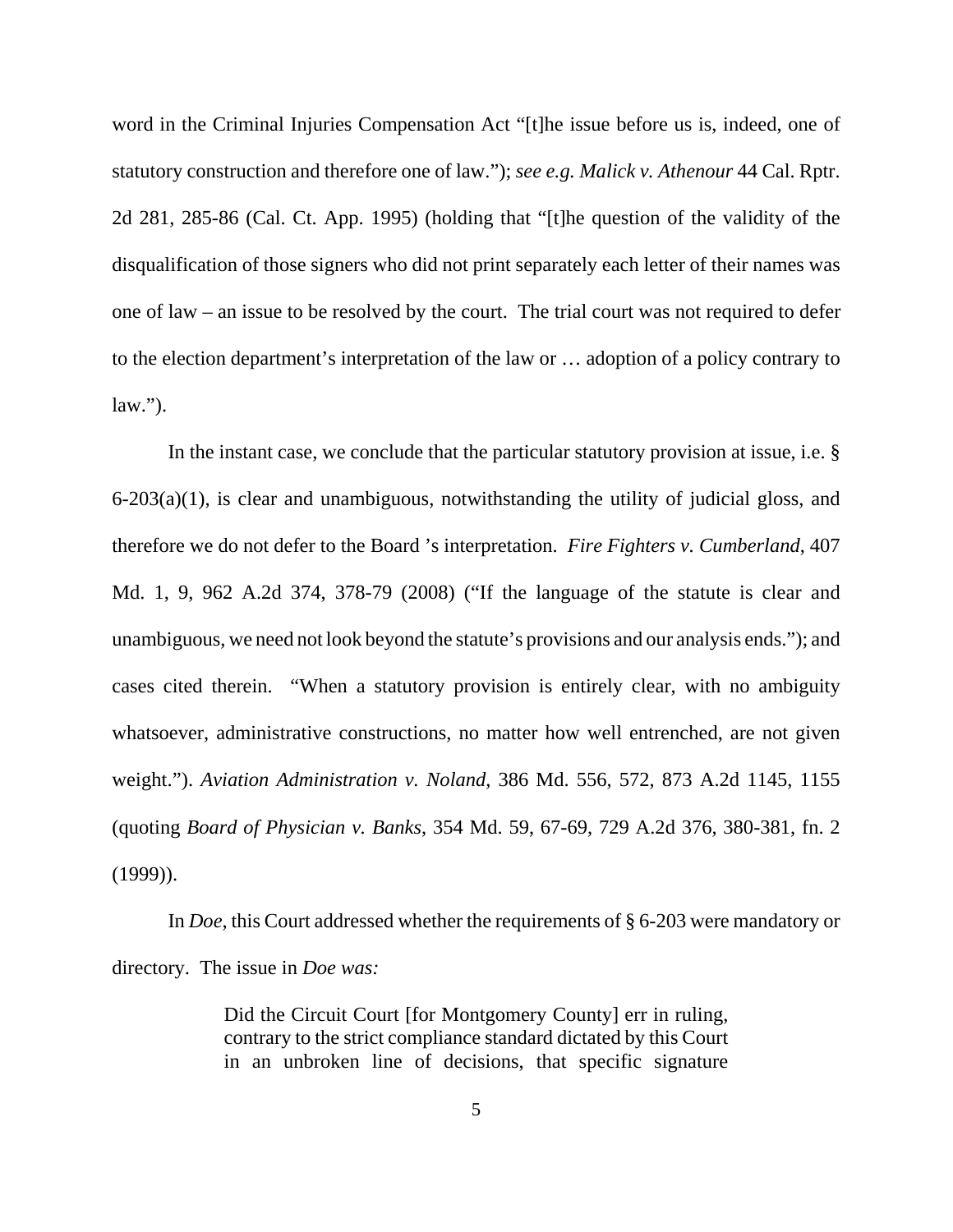word in the Criminal Injuries Compensation Act "[t]he issue before us is, indeed, one of statutory construction and therefore one of law."); *see e.g. Malick v. Athenour* 44 Cal. Rptr. 2d 281, 285-86 (Cal. Ct. App. 1995) (holding that "[t]he question of the validity of the disqualification of those signers who did not print separately each letter of their names was one of law – an issue to be resolved by the court. The trial court was not required to defer to the election department's interpretation of the law or … adoption of a policy contrary to  $law.''.$ 

In the instant case, we conclude that the particular statutory provision at issue, i.e. § 6-203(a)(1), is clear and unambiguous, notwithstanding the utility of judicial gloss, and therefore we do not defer to the Board 's interpretation. *Fire Fighters v. Cumberland*, 407 Md. 1, 9, 962 A.2d 374, 378-79 (2008) ("If the language of the statute is clear and unambiguous, we need not look beyond the statute's provisions and our analysis ends."); and cases cited therein. "When a statutory provision is entirely clear, with no ambiguity whatsoever, administrative constructions, no matter how well entrenched, are not given weight."). *Aviation Administration v. Noland*, 386 Md. 556, 572, 873 A.2d 1145, 1155 (quoting *Board of Physician v. Banks*, 354 Md. 59, 67-69, 729 A.2d 376, 380-381, fn. 2 (1999)).

In *Doe*, this Court addressed whether the requirements of § 6-203 were mandatory or directory. The issue in *Doe was:*

> Did the Circuit Court [for Montgomery County] err in ruling, contrary to the strict compliance standard dictated by this Court in an unbroken line of decisions, that specific signature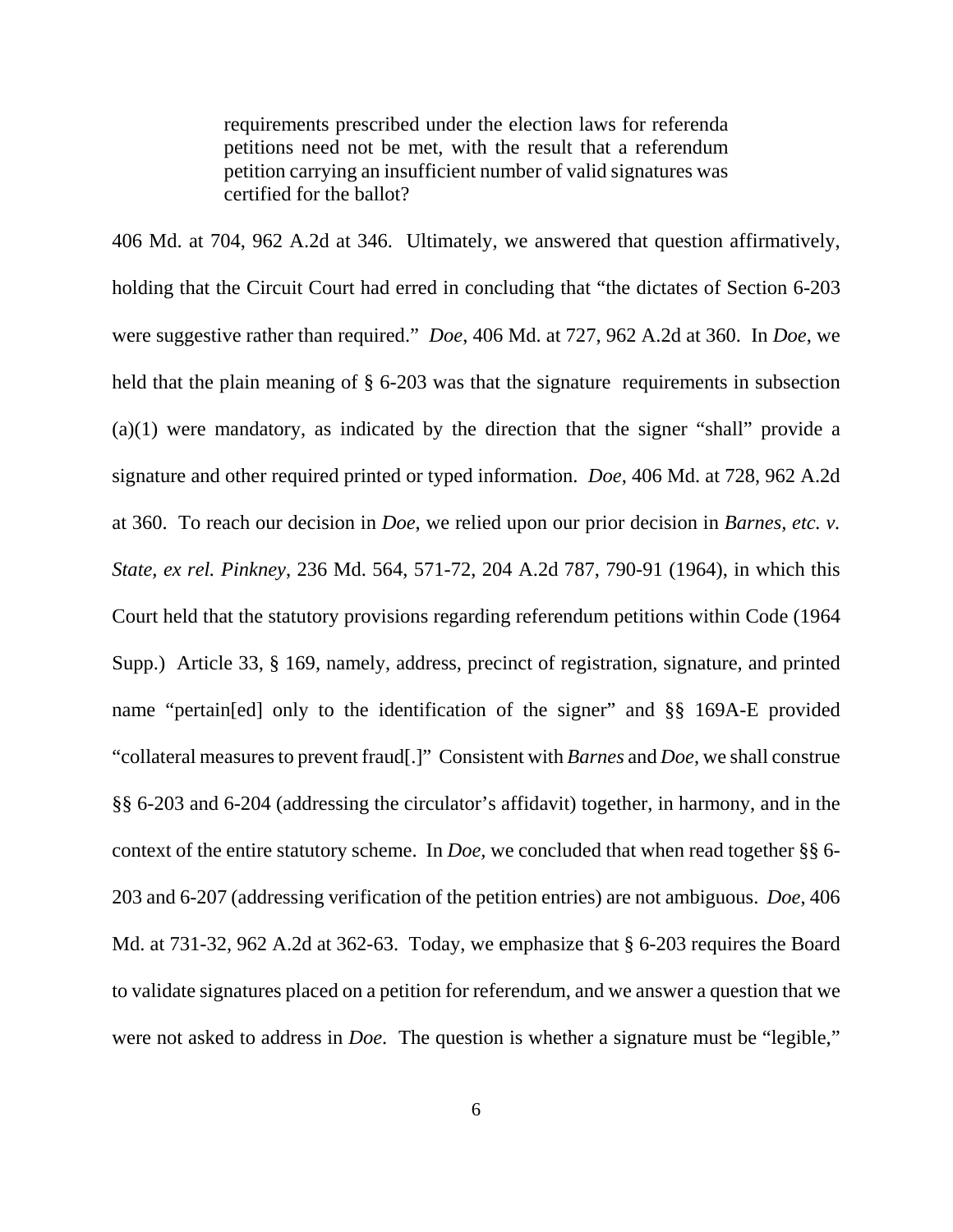requirements prescribed under the election laws for referenda petitions need not be met, with the result that a referendum petition carrying an insufficient number of valid signatures was certified for the ballot?

406 Md. at 704, 962 A.2d at 346. Ultimately, we answered that question affirmatively, holding that the Circuit Court had erred in concluding that "the dictates of Section 6-203 were suggestive rather than required." *Doe*, 406 Md. at 727, 962 A.2d at 360. In *Doe*, we held that the plain meaning of § 6-203 was that the signature requirements in subsection (a)(1) were mandatory, as indicated by the direction that the signer "shall" provide a signature and other required printed or typed information. *Doe*, 406 Md. at 728, 962 A.2d at 360. To reach our decision in *Doe*, we relied upon our prior decision in *Barnes, etc. v. State, ex rel. Pinkney*, 236 Md. 564, 571-72, 204 A.2d 787, 790-91 (1964), in which this Court held that the statutory provisions regarding referendum petitions within Code (1964 Supp.) Article 33, § 169, namely, address, precinct of registration, signature, and printed name "pertain[ed] only to the identification of the signer" and §§ 169A-E provided "collateral measures to prevent fraud[.]" Consistent with *Barnes* and *Doe*, we shall construe §§ 6-203 and 6-204 (addressing the circulator's affidavit) together, in harmony, and in the context of the entire statutory scheme. In *Doe,* we concluded that when read together §§ 6- 203 and 6-207 (addressing verification of the petition entries) are not ambiguous. *Doe*, 406 Md. at 731-32, 962 A.2d at 362-63. Today, we emphasize that § 6-203 requires the Board to validate signatures placed on a petition for referendum, and we answer a question that we were not asked to address in *Doe*. The question is whether a signature must be "legible,"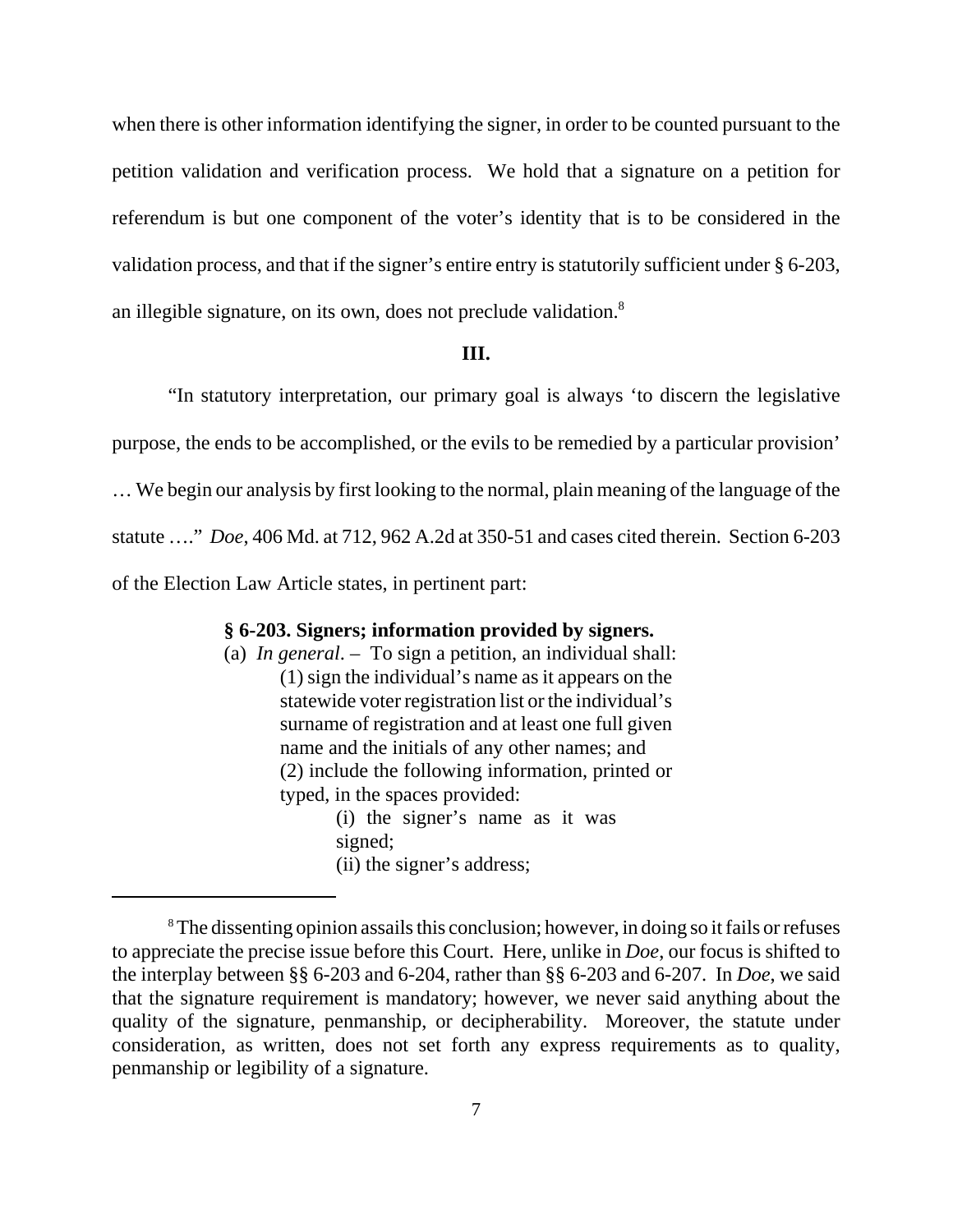when there is other information identifying the signer, in order to be counted pursuant to the petition validation and verification process. We hold that a signature on a petition for referendum is but one component of the voter's identity that is to be considered in the validation process, and that if the signer's entire entry is statutorily sufficient under § 6-203, an illegible signature, on its own, does not preclude validation.8

### **III.**

"In statutory interpretation, our primary goal is always 'to discern the legislative purpose, the ends to be accomplished, or the evils to be remedied by a particular provision' … We begin our analysis by first looking to the normal, plain meaning of the language of the statute …." *Doe*, 406 Md. at 712, 962 A.2d at 350-51 and cases cited therein. Section 6-203 of the Election Law Article states, in pertinent part:

#### **§ 6-203. Signers; information provided by signers.**

(a) *In general*. – To sign a petition, an individual shall: (1) sign the individual's name as it appears on the statewide voter registration list or the individual's surname of registration and at least one full given name and the initials of any other names; and (2) include the following information, printed or typed, in the spaces provided: (i) the signer's name as it was signed; (ii) the signer's address;

<sup>&</sup>lt;sup>8</sup>The dissenting opinion assails this conclusion; however, in doing so it fails or refuses to appreciate the precise issue before this Court. Here, unlike in *Doe*, our focus is shifted to the interplay between §§ 6-203 and 6-204, rather than §§ 6-203 and 6-207. In *Doe*, we said that the signature requirement is mandatory; however, we never said anything about the quality of the signature, penmanship, or decipherability. Moreover, the statute under consideration, as written, does not set forth any express requirements as to quality, penmanship or legibility of a signature.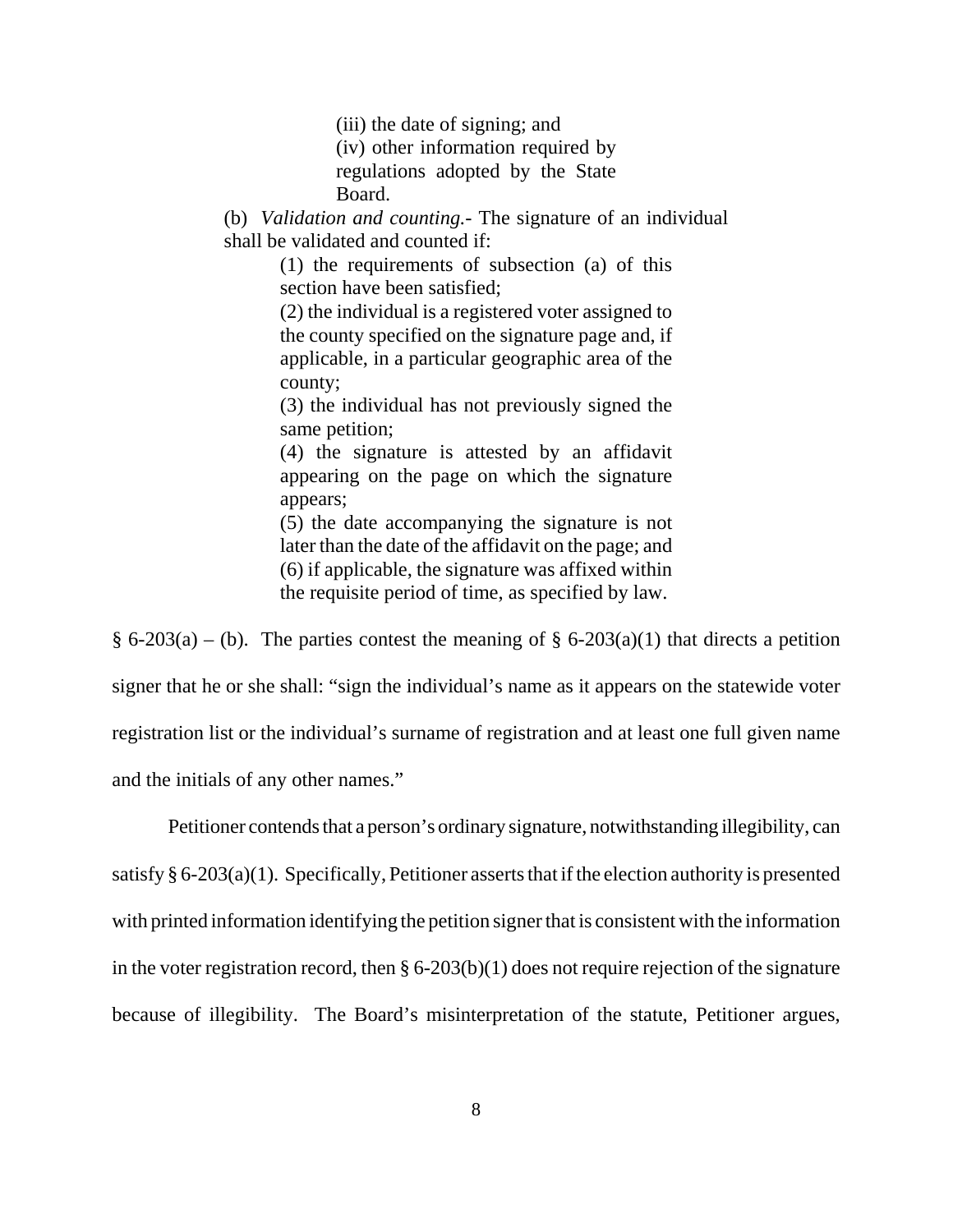(iii) the date of signing; and (iv) other information required by regulations adopted by the State Board.

(b) *Validation and counting.*- The signature of an individual shall be validated and counted if:

> (1) the requirements of subsection (a) of this section have been satisfied;

> (2) the individual is a registered voter assigned to the county specified on the signature page and, if applicable, in a particular geographic area of the county;

> (3) the individual has not previously signed the same petition;

> (4) the signature is attested by an affidavit appearing on the page on which the signature appears;

> (5) the date accompanying the signature is not later than the date of the affidavit on the page; and (6) if applicable, the signature was affixed within the requisite period of time, as specified by law.

§ 6-203(a) – (b). The parties contest the meaning of § 6-203(a)(1) that directs a petition signer that he or she shall: "sign the individual's name as it appears on the statewide voter registration list or the individual's surname of registration and at least one full given name and the initials of any other names."

Petitioner contends that a person's ordinary signature, notwithstanding illegibility, can satisfy  $\S 6-203(a)(1)$ . Specifically, Petitioner asserts that if the election authority is presented with printed information identifying the petition signer that is consistent with the information in the voter registration record, then  $\S 6{\text -}203(b)(1)$  does not require rejection of the signature because of illegibility. The Board's misinterpretation of the statute, Petitioner argues,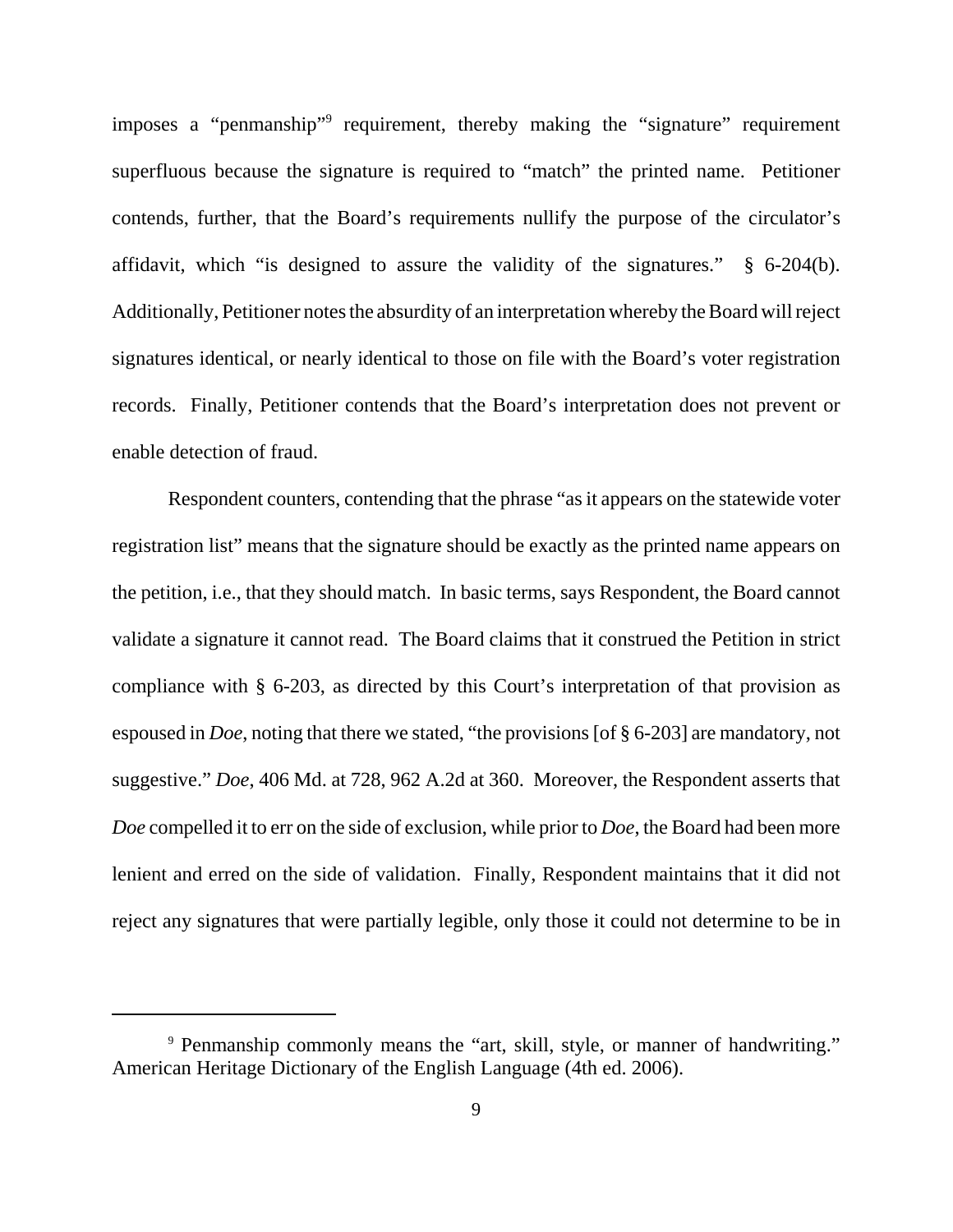imposes a "penmanship" requirement, thereby making the "signature" requirement superfluous because the signature is required to "match" the printed name. Petitioner contends, further, that the Board's requirements nullify the purpose of the circulator's affidavit, which "is designed to assure the validity of the signatures." § 6-204(b). Additionally, Petitioner notes the absurdity of an interpretation whereby the Board will reject signatures identical, or nearly identical to those on file with the Board's voter registration records. Finally, Petitioner contends that the Board's interpretation does not prevent or enable detection of fraud.

Respondent counters, contending that the phrase "as it appears on the statewide voter registration list" means that the signature should be exactly as the printed name appears on the petition, i.e., that they should match. In basic terms, says Respondent, the Board cannot validate a signature it cannot read. The Board claims that it construed the Petition in strict compliance with § 6-203, as directed by this Court's interpretation of that provision as espoused in *Doe*, noting that there we stated, "the provisions [of § 6-203] are mandatory, not suggestive." *Doe*, 406 Md. at 728, 962 A.2d at 360. Moreover, the Respondent asserts that *Doe* compelled it to err on the side of exclusion, while prior to *Doe*, the Board had been more lenient and erred on the side of validation. Finally, Respondent maintains that it did not reject any signatures that were partially legible, only those it could not determine to be in

<sup>9</sup> Penmanship commonly means the "art, skill, style, or manner of handwriting." American Heritage Dictionary of the English Language (4th ed. 2006).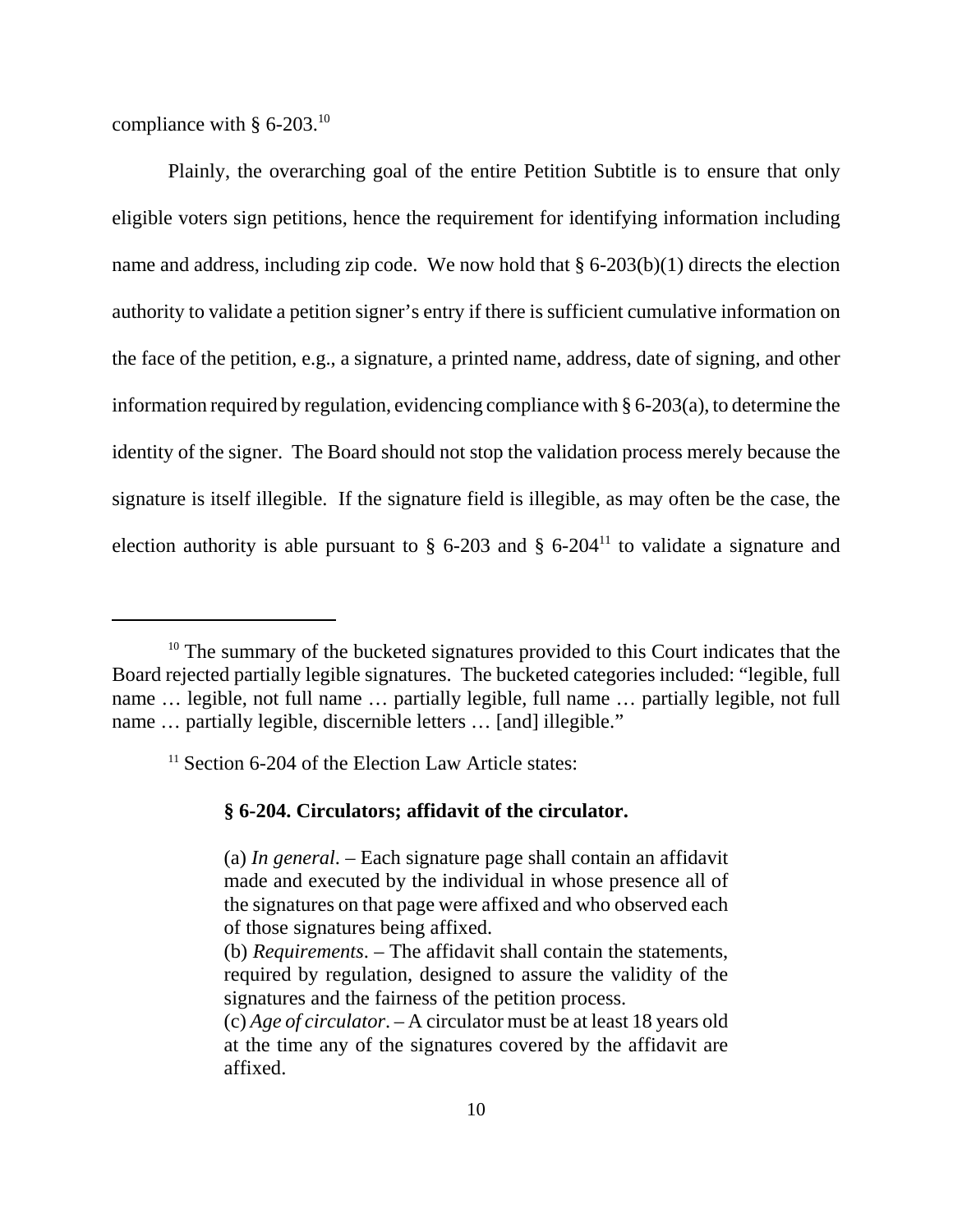compliance with  $§$  6-203.<sup>10</sup>

Plainly, the overarching goal of the entire Petition Subtitle is to ensure that only eligible voters sign petitions, hence the requirement for identifying information including name and address, including zip code. We now hold that § 6-203(b)(1) directs the election authority to validate a petition signer's entry if there is sufficient cumulative information on the face of the petition, e.g., a signature, a printed name, address, date of signing, and other information required by regulation, evidencing compliance with § 6-203(a), to determine the identity of the signer. The Board should not stop the validation process merely because the signature is itself illegible. If the signature field is illegible, as may often be the case, the election authority is able pursuant to  $\S$  6-203 and  $\S$  6-204<sup>11</sup> to validate a signature and

<sup>11</sup> Section 6-204 of the Election Law Article states:

### **§ 6-204. Circulators; affidavit of the circulator.**

<sup>&</sup>lt;sup>10</sup> The summary of the bucketed signatures provided to this Court indicates that the Board rejected partially legible signatures. The bucketed categories included: "legible, full name … legible, not full name … partially legible, full name … partially legible, not full name ... partially legible, discernible letters ... [and] illegible."

<sup>(</sup>a) *In general*. – Each signature page shall contain an affidavit made and executed by the individual in whose presence all of the signatures on that page were affixed and who observed each of those signatures being affixed.

<sup>(</sup>b) *Requirements*. – The affidavit shall contain the statements, required by regulation, designed to assure the validity of the signatures and the fairness of the petition process.

<sup>(</sup>c) *Age of circulator*. – A circulator must be at least 18 years old at the time any of the signatures covered by the affidavit are affixed.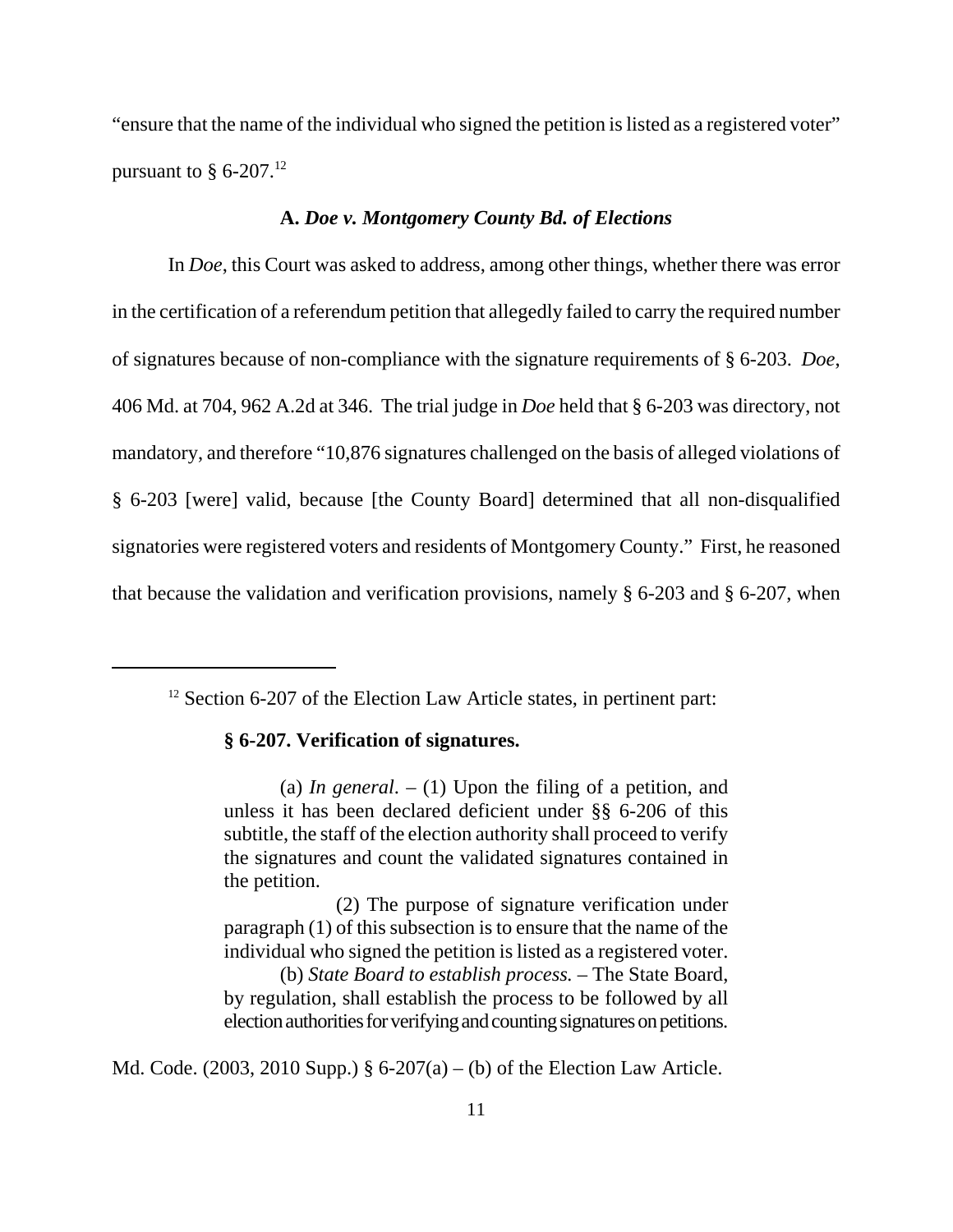"ensure that the name of the individual who signed the petition is listed as a registered voter" pursuant to  $§$  6-207.<sup>12</sup>

### **A.** *Doe v. Montgomery County Bd. of Elections*

In *Doe*, this Court was asked to address, among other things, whether there was error in the certification of a referendum petition that allegedly failed to carry the required number of signatures because of non-compliance with the signature requirements of § 6-203. *Doe*, 406 Md. at 704, 962 A.2d at 346. The trial judge in *Doe* held that § 6-203 was directory, not mandatory, and therefore "10,876 signatures challenged on the basis of alleged violations of § 6-203 [were] valid, because [the County Board] determined that all non-disqualified signatories were registered voters and residents of Montgomery County." First, he reasoned that because the validation and verification provisions, namely § 6-203 and § 6-207, when

#### **§ 6-207. Verification of signatures.**

Md. Code. (2003, 2010 Supp.)  $\S 6-207(a) - (b)$  of the Election Law Article.

 $12$  Section 6-207 of the Election Law Article states, in pertinent part:

<sup>(</sup>a) *In general*.  $- (1)$  Upon the filing of a petition, and unless it has been declared deficient under §§ 6-206 of this subtitle, the staff of the election authority shall proceed to verify the signatures and count the validated signatures contained in the petition.

<sup>(2)</sup> The purpose of signature verification under paragraph (1) of this subsection is to ensure that the name of the individual who signed the petition is listed as a registered voter. (b) *State Board to establish process.* – The State Board, by regulation, shall establish the process to be followed by all election authorities for verifying and counting signatures on petitions.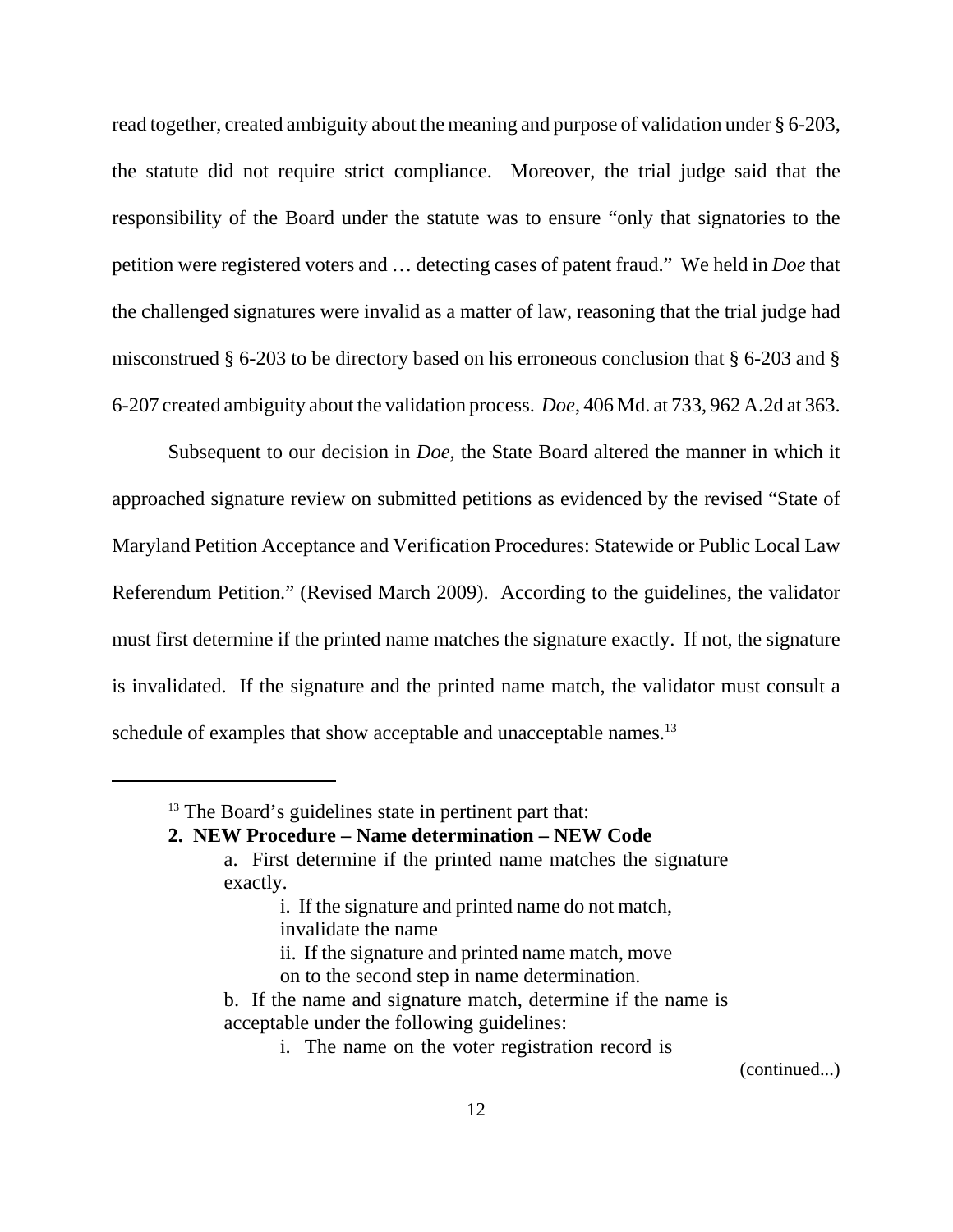read together, created ambiguity about the meaning and purpose of validation under § 6-203, the statute did not require strict compliance. Moreover, the trial judge said that the responsibility of the Board under the statute was to ensure "only that signatories to the petition were registered voters and … detecting cases of patent fraud." We held in *Doe* that the challenged signatures were invalid as a matter of law, reasoning that the trial judge had misconstrued § 6-203 to be directory based on his erroneous conclusion that § 6-203 and § 6-207 created ambiguity about the validation process. *Doe*, 406 Md. at 733, 962 A.2d at 363.

Subsequent to our decision in *Doe*, the State Board altered the manner in which it approached signature review on submitted petitions as evidenced by the revised "State of Maryland Petition Acceptance and Verification Procedures: Statewide or Public Local Law Referendum Petition." (Revised March 2009). According to the guidelines, the validator must first determine if the printed name matches the signature exactly. If not, the signature is invalidated. If the signature and the printed name match, the validator must consult a schedule of examples that show acceptable and unacceptable names.<sup>13</sup>

### **2. NEW Procedure – Name determination – NEW Code**

- a. First determine if the printed name matches the signature exactly.
	- i. If the signature and printed name do not match, invalidate the name
	- ii. If the signature and printed name match, move
	- on to the second step in name determination.
- b. If the name and signature match, determine if the name is acceptable under the following guidelines:
	- i. The name on the voter registration record is

(continued...)

<sup>&</sup>lt;sup>13</sup> The Board's guidelines state in pertinent part that: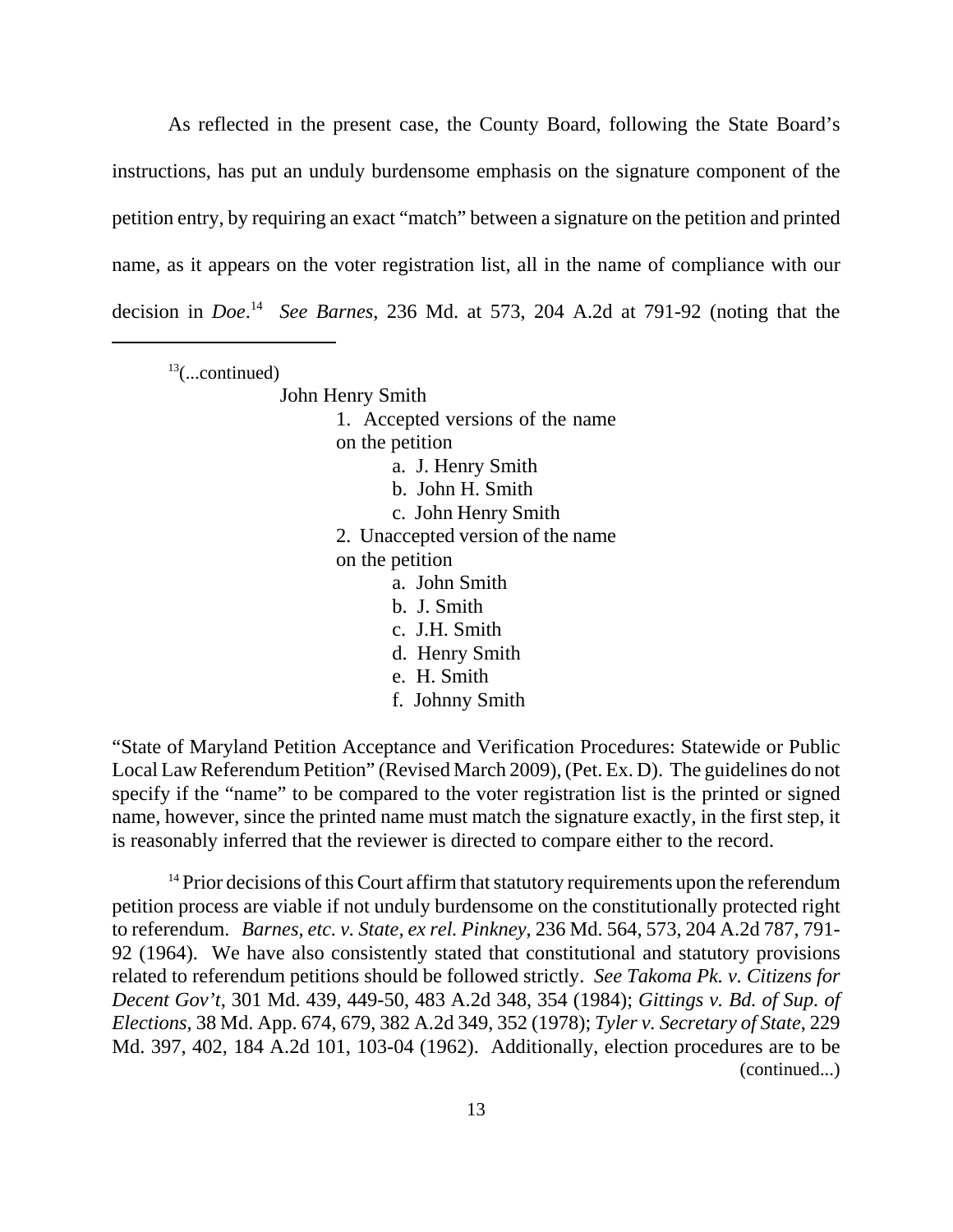As reflected in the present case, the County Board, following the State Board's instructions, has put an unduly burdensome emphasis on the signature component of the petition entry, by requiring an exact "match" between a signature on the petition and printed name, as it appears on the voter registration list, all in the name of compliance with our decision in *Doe*. 14 *See Barnes*, 236 Md. at 573, 204 A.2d at 791-92 (noting that the

 $13$ (...continued)

John Henry Smith

1. Accepted versions of the name

on the petition

- a. J. Henry Smith
- b. John H. Smith
- c. John Henry Smith
- 2. Unaccepted version of the name

on the petition

- a. John Smith
- b. J. Smith
- c. J.H. Smith
- d. Henry Smith
- e. H. Smith
- f. Johnny Smith

"State of Maryland Petition Acceptance and Verification Procedures: Statewide or Public Local Law Referendum Petition" (Revised March 2009), (Pet. Ex. D). The guidelines do not specify if the "name" to be compared to the voter registration list is the printed or signed name, however, since the printed name must match the signature exactly, in the first step, it is reasonably inferred that the reviewer is directed to compare either to the record.

 $14$  Prior decisions of this Court affirm that statutory requirements upon the referendum petition process are viable if not unduly burdensome on the constitutionally protected right to referendum. *Barnes, etc. v. State, ex rel. Pinkney*, 236 Md. 564, 573, 204 A.2d 787, 791- 92 (1964). We have also consistently stated that constitutional and statutory provisions related to referendum petitions should be followed strictly. *See Takoma Pk. v. Citizens for Decent Gov't*, 301 Md. 439, 449-50, 483 A.2d 348, 354 (1984); *Gittings v. Bd. of Sup. of Elections*, 38 Md. App. 674, 679, 382 A.2d 349, 352 (1978); *Tyler v. Secretary of State*, 229 Md. 397, 402, 184 A.2d 101, 103-04 (1962). Additionally, election procedures are to be (continued...)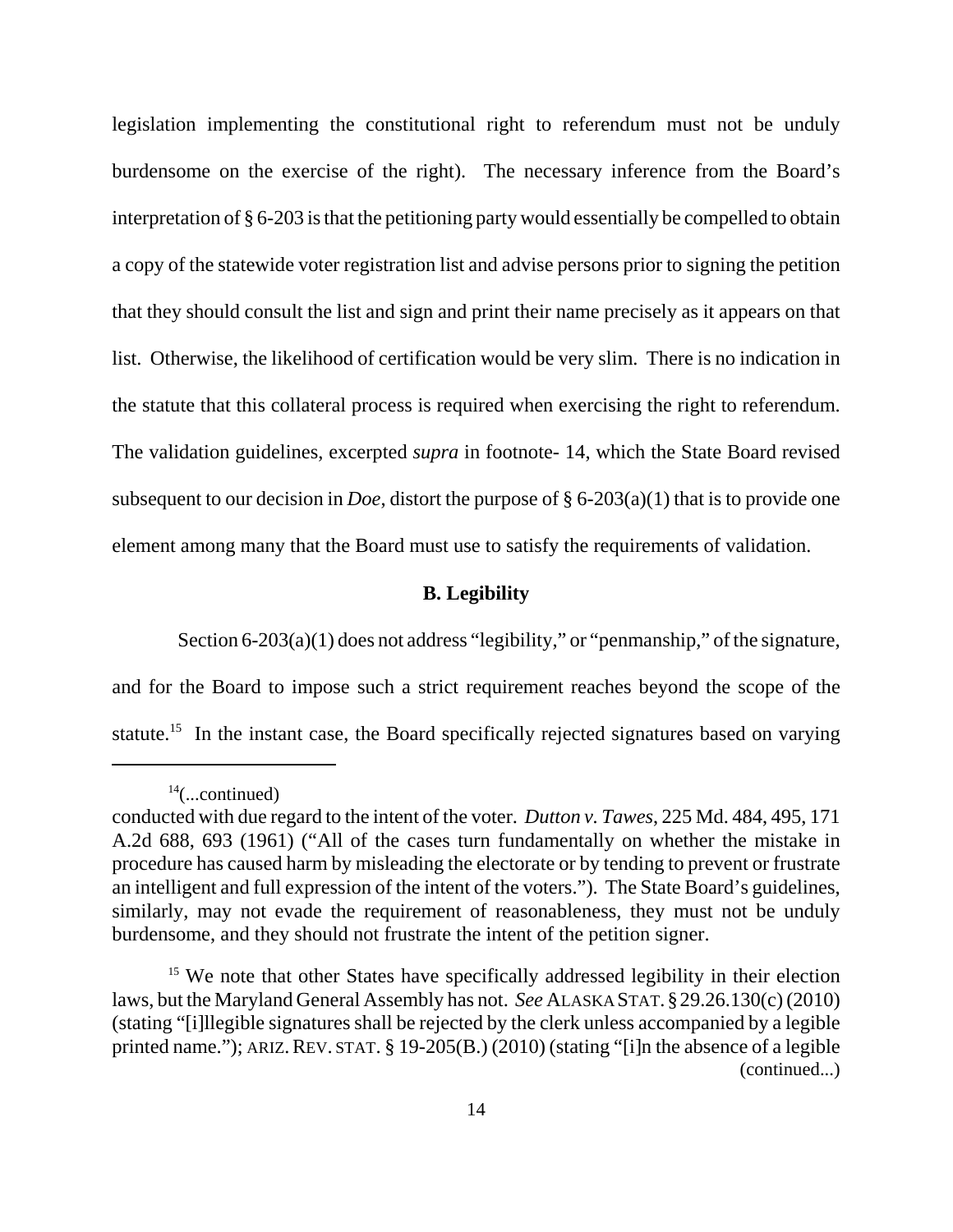legislation implementing the constitutional right to referendum must not be unduly burdensome on the exercise of the right). The necessary inference from the Board's interpretation of § 6-203 is that the petitioning party would essentially be compelled to obtain a copy of the statewide voter registration list and advise persons prior to signing the petition that they should consult the list and sign and print their name precisely as it appears on that list. Otherwise, the likelihood of certification would be very slim. There is no indication in the statute that this collateral process is required when exercising the right to referendum. The validation guidelines, excerpted *supra* in footnote- 14, which the State Board revised subsequent to our decision in *Doe*, distort the purpose of § 6-203(a)(1) that is to provide one element among many that the Board must use to satisfy the requirements of validation.

### **B. Legibility**

Section 6-203(a)(1) does not address "legibility," or "penmanship," of the signature, and for the Board to impose such a strict requirement reaches beyond the scope of the statute.<sup>15</sup> In the instant case, the Board specifically rejected signatures based on varying

 $14$ (...continued)

conducted with due regard to the intent of the voter. *Dutton v. Tawes*, 225 Md. 484, 495, 171 A.2d 688, 693 (1961) ("All of the cases turn fundamentally on whether the mistake in procedure has caused harm by misleading the electorate or by tending to prevent or frustrate an intelligent and full expression of the intent of the voters."). The State Board's guidelines, similarly, may not evade the requirement of reasonableness, they must not be unduly burdensome, and they should not frustrate the intent of the petition signer.

<sup>&</sup>lt;sup>15</sup> We note that other States have specifically addressed legibility in their election laws, but the Maryland General Assembly has not. *See* ALASKA STAT.§29.26.130(c) (2010) (stating "[i]llegible signatures shall be rejected by the clerk unless accompanied by a legible printed name."); ARIZ.REV. STAT. § 19-205(B.) (2010) (stating "[i]n the absence of a legible (continued...)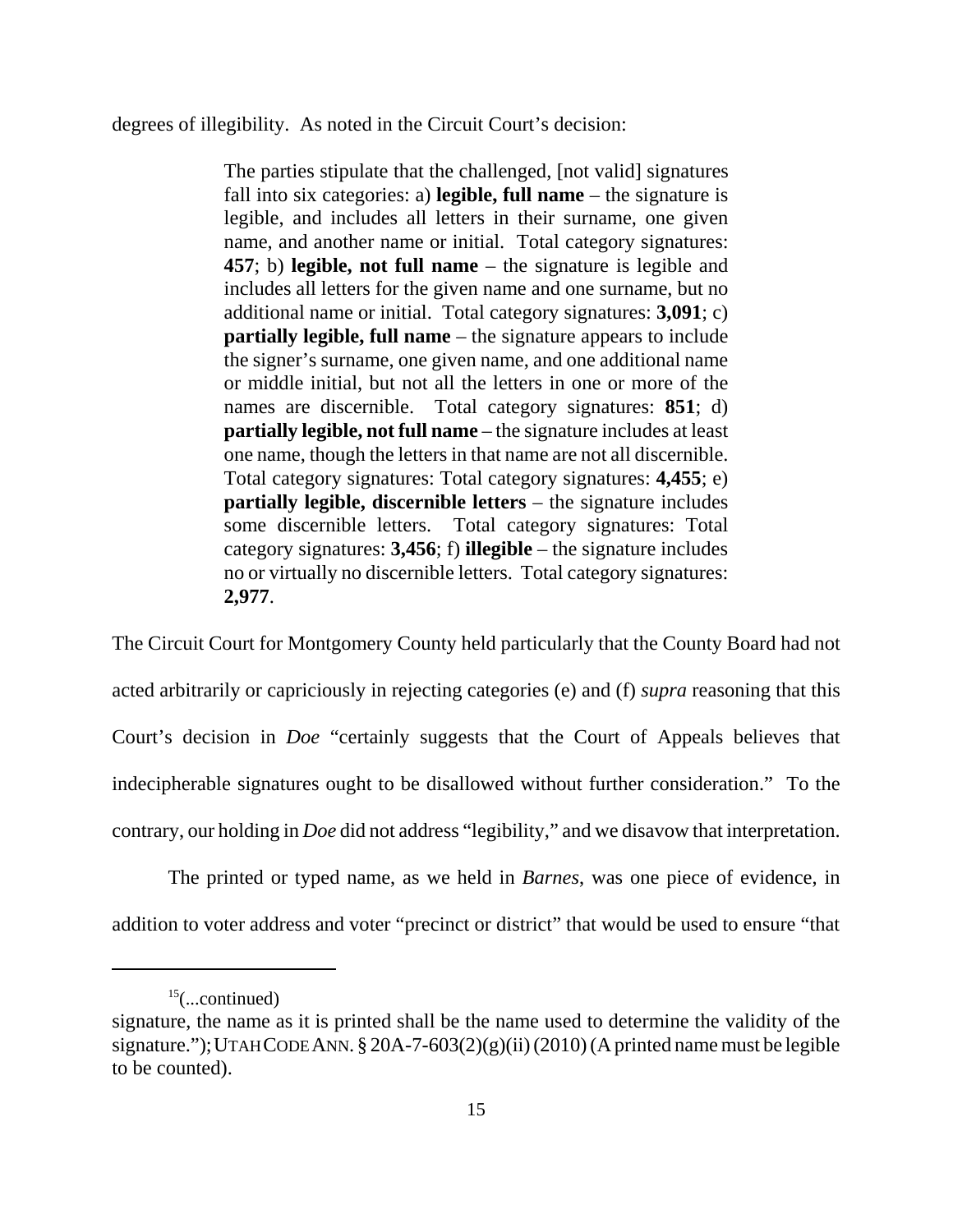degrees of illegibility. As noted in the Circuit Court's decision:

The parties stipulate that the challenged, [not valid] signatures fall into six categories: a) **legible, full name** – the signature is legible, and includes all letters in their surname, one given name, and another name or initial. Total category signatures: **457**; b) **legible, not full name** – the signature is legible and includes all letters for the given name and one surname, but no additional name or initial. Total category signatures: **3,091**; c) **partially legible, full name** – the signature appears to include the signer's surname, one given name, and one additional name or middle initial, but not all the letters in one or more of the names are discernible. Total category signatures: **851**; d) **partially legible, not full name** – the signature includes at least one name, though the letters in that name are not all discernible. Total category signatures: Total category signatures: **4,455**; e) **partially legible, discernible letters** – the signature includes some discernible letters. Total category signatures: Total category signatures: **3,456**; f) **illegible** – the signature includes no or virtually no discernible letters. Total category signatures: **2,977**.

The Circuit Court for Montgomery County held particularly that the County Board had not acted arbitrarily or capriciously in rejecting categories (e) and (f) *supra* reasoning that this Court's decision in *Doe* "certainly suggests that the Court of Appeals believes that indecipherable signatures ought to be disallowed without further consideration." To the contrary, our holding in *Doe* did not address "legibility," and we disavow that interpretation.

The printed or typed name, as we held in *Barnes*, was one piece of evidence, in addition to voter address and voter "precinct or district" that would be used to ensure "that

 $15$ (...continued)

signature, the name as it is printed shall be the name used to determine the validity of the signature."); UTAH CODE ANN.  $\S 20A-7-603(2)(g)(ii) (2010)$  (A printed name must be legible to be counted).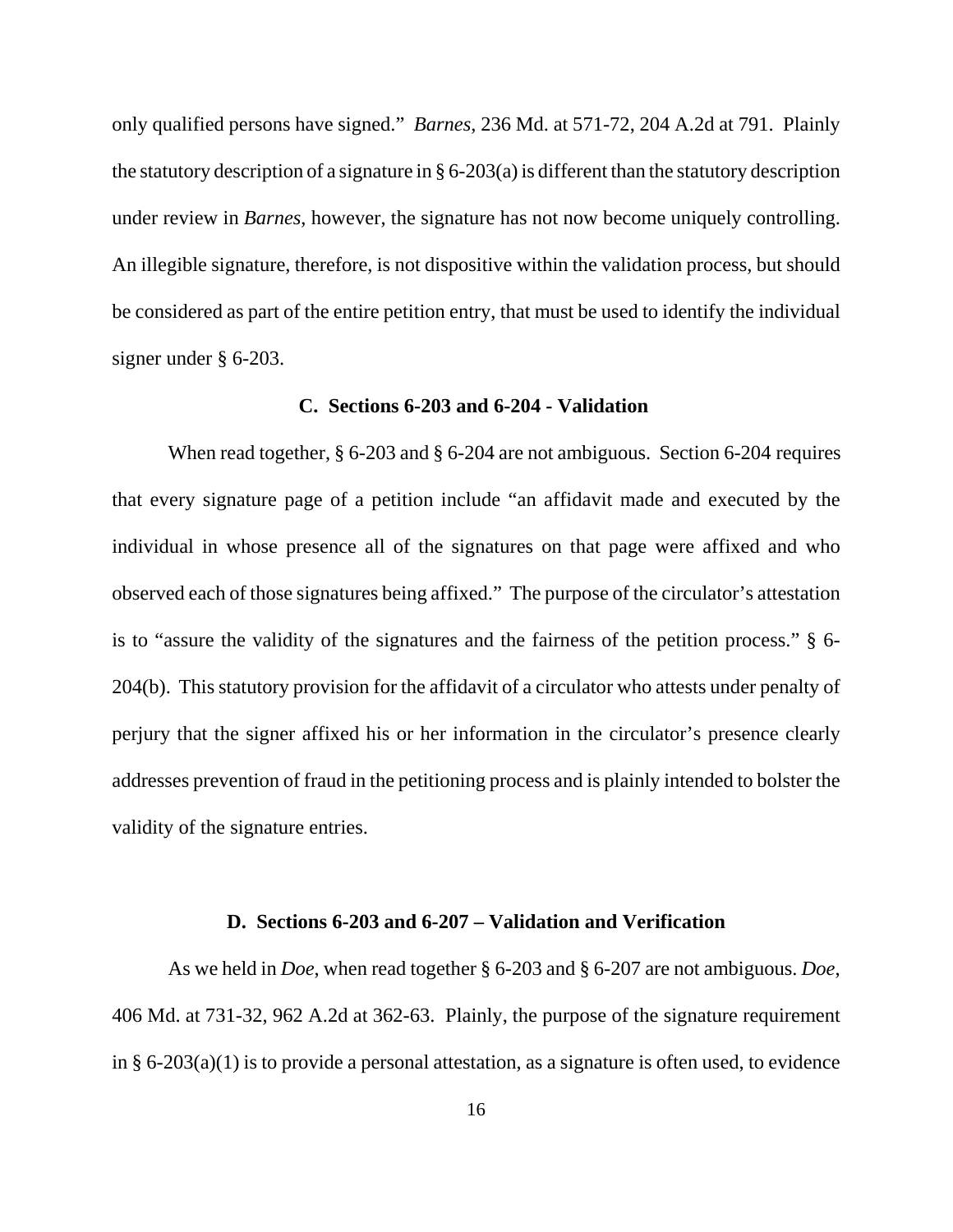only qualified persons have signed." *Barnes*, 236 Md. at 571-72, 204 A.2d at 791. Plainly the statutory description of a signature in § 6-203(a) is different than the statutory description under review in *Barnes*, however, the signature has not now become uniquely controlling. An illegible signature, therefore, is not dispositive within the validation process, but should be considered as part of the entire petition entry, that must be used to identify the individual signer under § 6-203.

### **C. Sections 6-203 and 6-204 - Validation**

 When read together, § 6-203 and § 6-204 are not ambiguous. Section 6-204 requires that every signature page of a petition include "an affidavit made and executed by the individual in whose presence all of the signatures on that page were affixed and who observed each of those signatures being affixed." The purpose of the circulator's attestation is to "assure the validity of the signatures and the fairness of the petition process." § 6- 204(b). This statutory provision for the affidavit of a circulator who attests under penalty of perjury that the signer affixed his or her information in the circulator's presence clearly addresses prevention of fraud in the petitioning process and is plainly intended to bolster the validity of the signature entries.

### **D. Sections 6-203 and 6-207 – Validation and Verification**

As we held in *Doe*, when read together § 6-203 and § 6-207 are not ambiguous. *Doe*, 406 Md. at 731-32, 962 A.2d at 362-63. Plainly, the purpose of the signature requirement in § 6-203(a)(1) is to provide a personal attestation, as a signature is often used, to evidence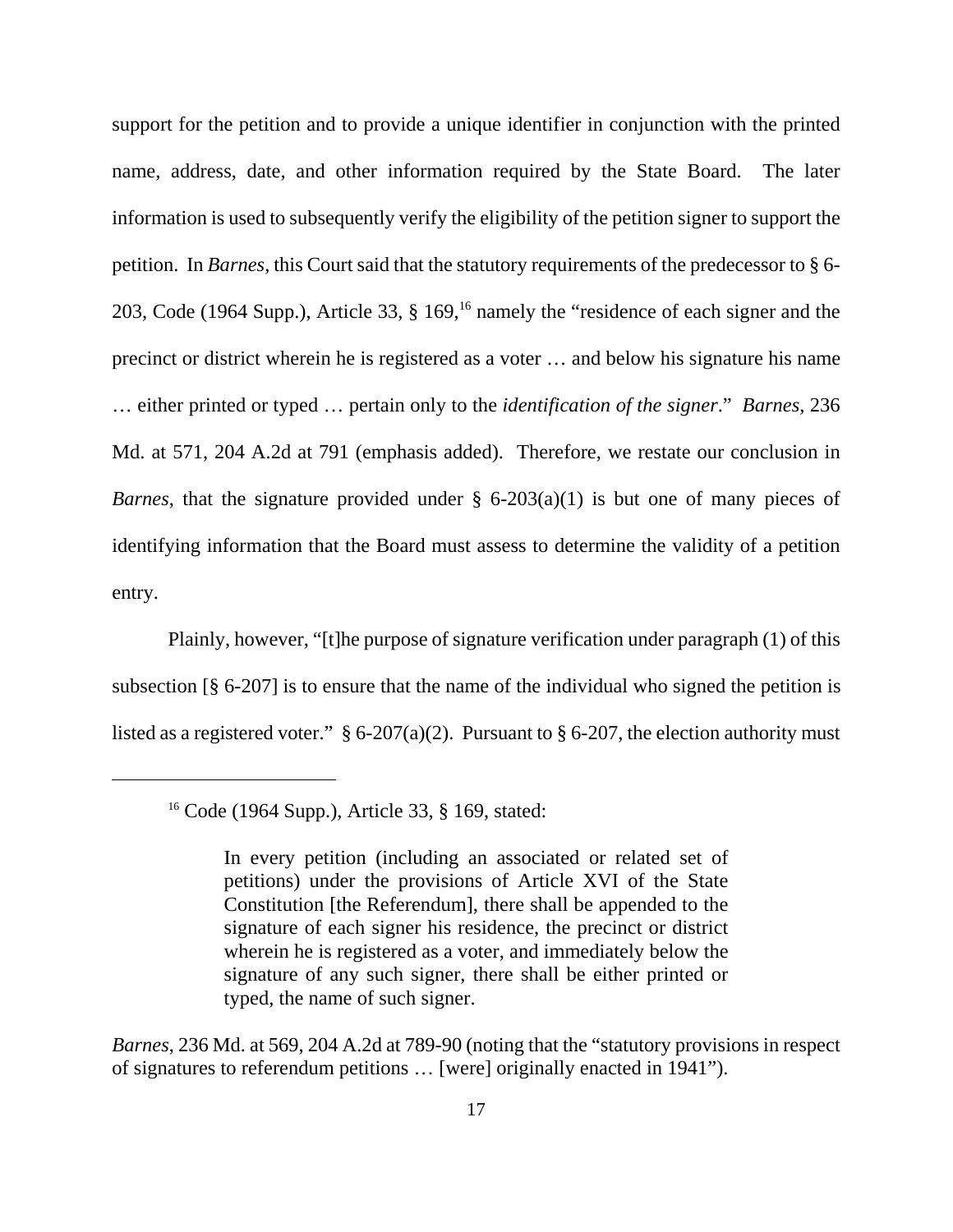support for the petition and to provide a unique identifier in conjunction with the printed name, address, date, and other information required by the State Board. The later information is used to subsequently verify the eligibility of the petition signer to support the petition. In *Barnes*, this Court said that the statutory requirements of the predecessor to § 6- 203, Code (1964 Supp.), Article 33, § 169,16 namely the "residence of each signer and the precinct or district wherein he is registered as a voter … and below his signature his name … either printed or typed … pertain only to the *identification of the signer*." *Barnes*, 236 Md. at 571, 204 A.2d at 791 (emphasis added). Therefore, we restate our conclusion in *Barnes*, that the signature provided under § 6-203(a)(1) is but one of many pieces of identifying information that the Board must assess to determine the validity of a petition entry.

Plainly, however, "[t]he purpose of signature verification under paragraph (1) of this subsection [§ 6-207] is to ensure that the name of the individual who signed the petition is listed as a registered voter."  $\S 6{\text -}207(a)(2)$ . Pursuant to  $\S 6{\text -}207$ , the election authority must

*Barnes*, 236 Md. at 569, 204 A.2d at 789-90 (noting that the "statutory provisions in respect of signatures to referendum petitions … [were] originally enacted in 1941").

<sup>16</sup> Code (1964 Supp.), Article 33, § 169, stated:

In every petition (including an associated or related set of petitions) under the provisions of Article XVI of the State Constitution [the Referendum], there shall be appended to the signature of each signer his residence, the precinct or district wherein he is registered as a voter, and immediately below the signature of any such signer, there shall be either printed or typed, the name of such signer.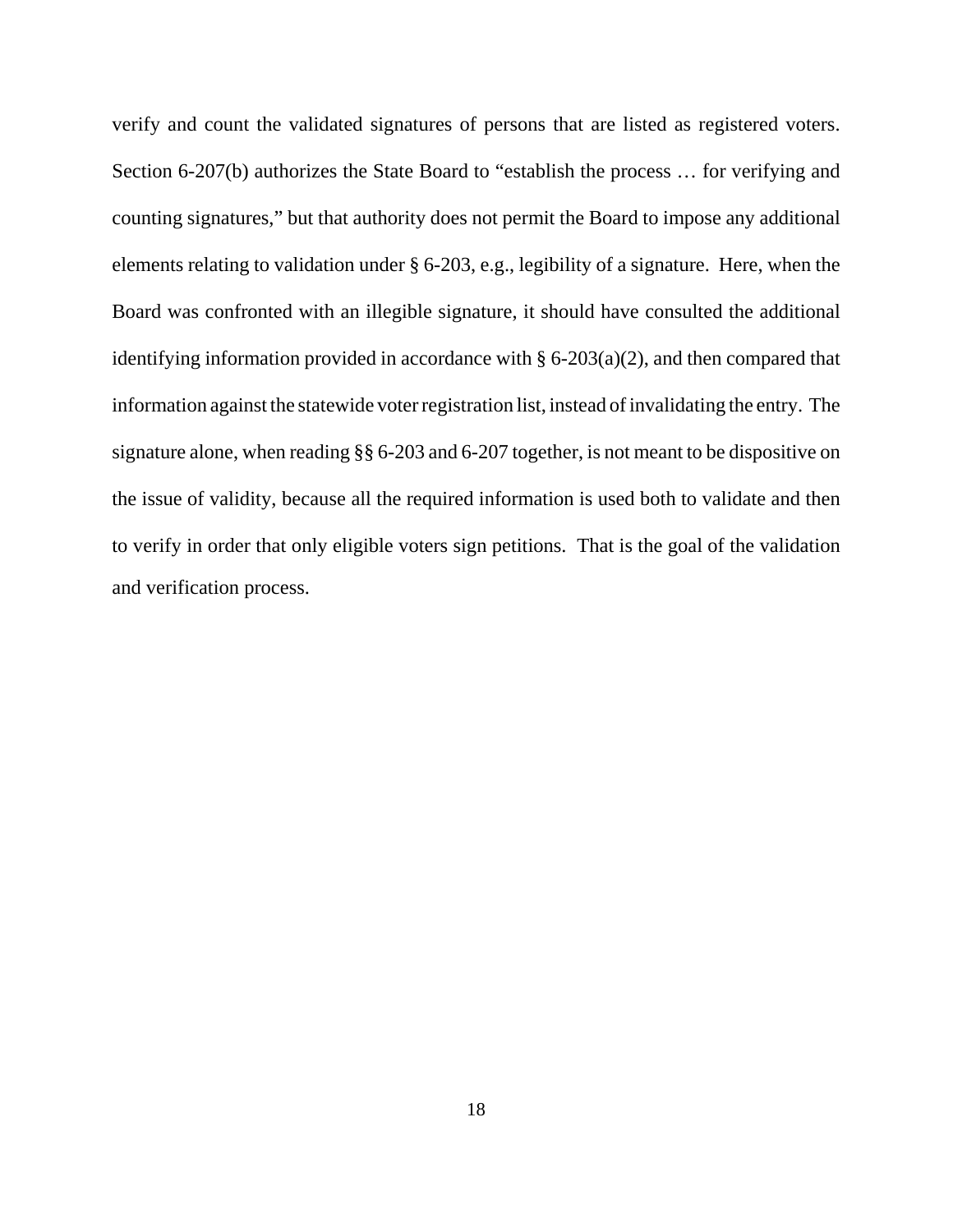verify and count the validated signatures of persons that are listed as registered voters. Section 6-207(b) authorizes the State Board to "establish the process … for verifying and counting signatures," but that authority does not permit the Board to impose any additional elements relating to validation under § 6-203, e.g., legibility of a signature. Here, when the Board was confronted with an illegible signature, it should have consulted the additional identifying information provided in accordance with  $\S 6{\text -}203(a)(2)$ , and then compared that information against the statewide voter registration list, instead of invalidating the entry. The signature alone, when reading §§ 6-203 and 6-207 together, is not meant to be dispositive on the issue of validity, because all the required information is used both to validate and then to verify in order that only eligible voters sign petitions. That is the goal of the validation and verification process.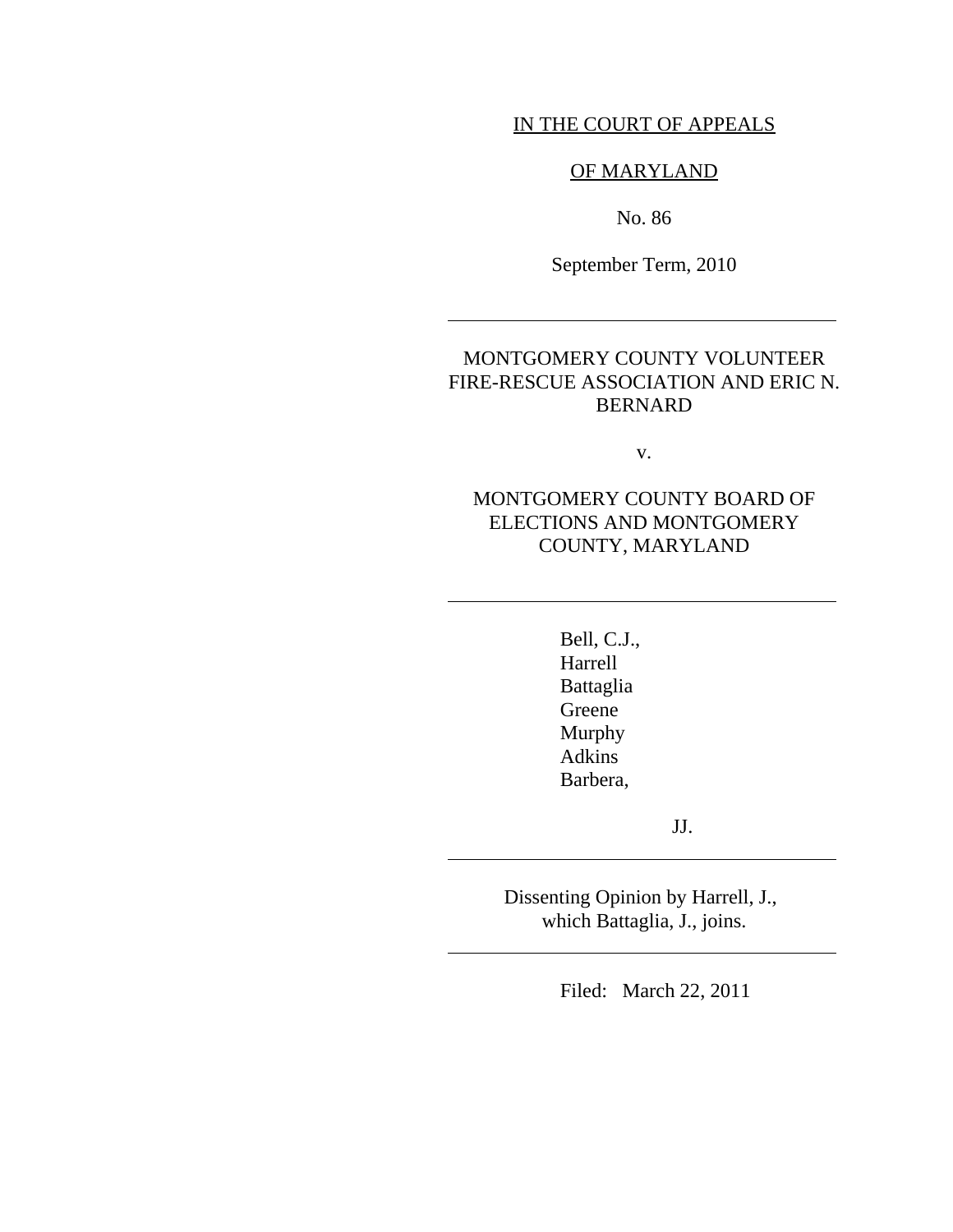## IN THE COURT OF APPEALS

## OF MARYLAND

No. 86

September Term, 2010

 $\overline{\phantom{a}}$ 

 $\overline{a}$ 

 $\overline{a}$ 

 $\overline{a}$ 

## MONTGOMERY COUNTY VOLUNTEER FIRE-RESCUE ASSOCIATION AND ERIC N. BERNARD

v.

# MONTGOMERY COUNTY BOARD OF ELECTIONS AND MONTGOMERY COUNTY, MARYLAND

 Bell, C.J., Harrell Battaglia Greene Murphy Adkins Barbera,

JJ.

Dissenting Opinion by Harrell, J., which Battaglia, J., joins.

Filed: March 22, 2011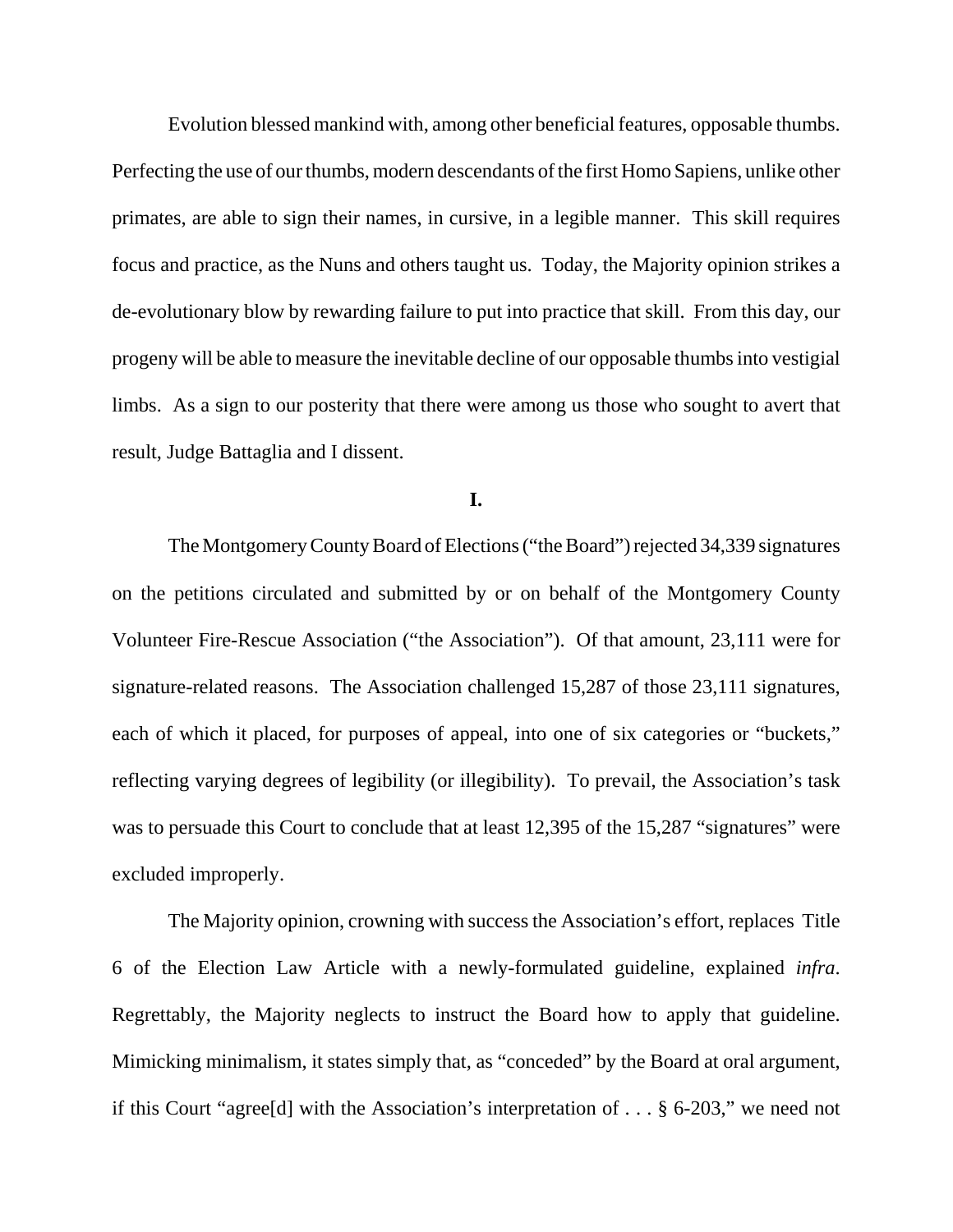Evolution blessed mankind with, among other beneficial features, opposable thumbs. Perfecting the use of our thumbs, modern descendants of the first Homo Sapiens, unlike other primates, are able to sign their names, in cursive, in a legible manner. This skill requires focus and practice, as the Nuns and others taught us. Today, the Majority opinion strikes a de-evolutionary blow by rewarding failure to put into practice that skill. From this day, our progeny will be able to measure the inevitable decline of our opposable thumbs into vestigial limbs. As a sign to our posterity that there were among us those who sought to avert that result, Judge Battaglia and I dissent.

**I.**

The Montgomery County Board of Elections ("the Board") rejected 34,339 signatures on the petitions circulated and submitted by or on behalf of the Montgomery County Volunteer Fire-Rescue Association ("the Association"). Of that amount, 23,111 were for signature-related reasons. The Association challenged 15,287 of those 23,111 signatures, each of which it placed, for purposes of appeal, into one of six categories or "buckets," reflecting varying degrees of legibility (or illegibility). To prevail, the Association's task was to persuade this Court to conclude that at least 12,395 of the 15,287 "signatures" were excluded improperly.

The Majority opinion, crowning with success the Association's effort, replaces Title 6 of the Election Law Article with a newly-formulated guideline, explained *infra*. Regrettably, the Majority neglects to instruct the Board how to apply that guideline. Mimicking minimalism, it states simply that, as "conceded" by the Board at oral argument, if this Court "agree[d] with the Association's interpretation of . . . § 6-203," we need not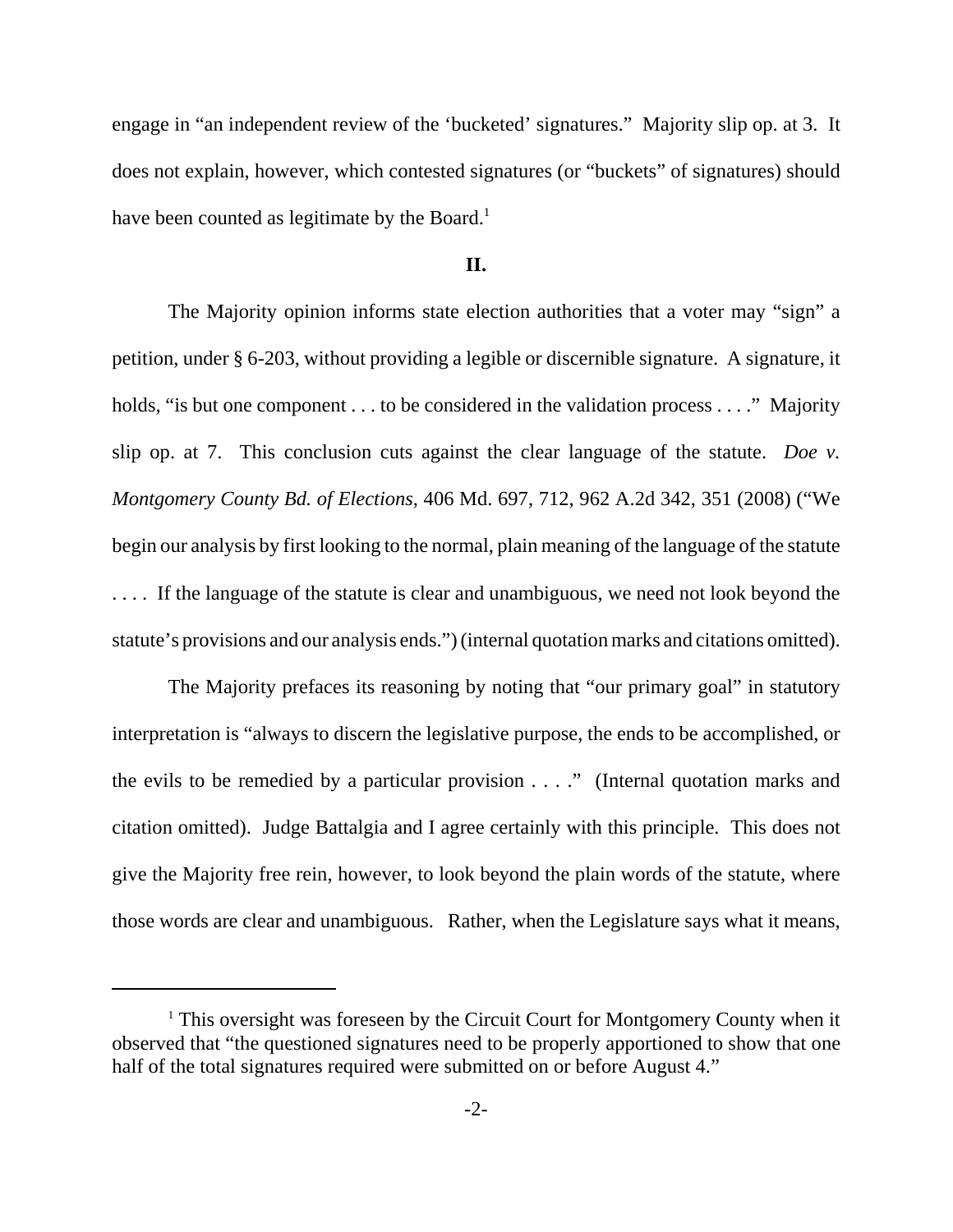engage in "an independent review of the 'bucketed' signatures." Majority slip op. at 3. It does not explain, however, which contested signatures (or "buckets" of signatures) should have been counted as legitimate by the Board.<sup>1</sup>

### **II.**

The Majority opinion informs state election authorities that a voter may "sign" a petition, under § 6-203, without providing a legible or discernible signature. A signature, it holds, "is but one component . . . to be considered in the validation process . . . ." Majority slip op. at 7. This conclusion cuts against the clear language of the statute. *Doe v. Montgomery County Bd. of Elections*, 406 Md. 697, 712, 962 A.2d 342, 351 (2008) ("We begin our analysis by first looking to the normal, plain meaning of the language of the statute . . . . If the language of the statute is clear and unambiguous, we need not look beyond the statute's provisions and our analysis ends.") (internal quotation marks and citations omitted).

The Majority prefaces its reasoning by noting that "our primary goal" in statutory interpretation is "always to discern the legislative purpose, the ends to be accomplished, or the evils to be remedied by a particular provision . . . ." (Internal quotation marks and citation omitted). Judge Battalgia and I agree certainly with this principle. This does not give the Majority free rein, however, to look beyond the plain words of the statute, where those words are clear and unambiguous. Rather, when the Legislature says what it means,

<sup>&</sup>lt;sup>1</sup> This oversight was foreseen by the Circuit Court for Montgomery County when it observed that "the questioned signatures need to be properly apportioned to show that one half of the total signatures required were submitted on or before August 4."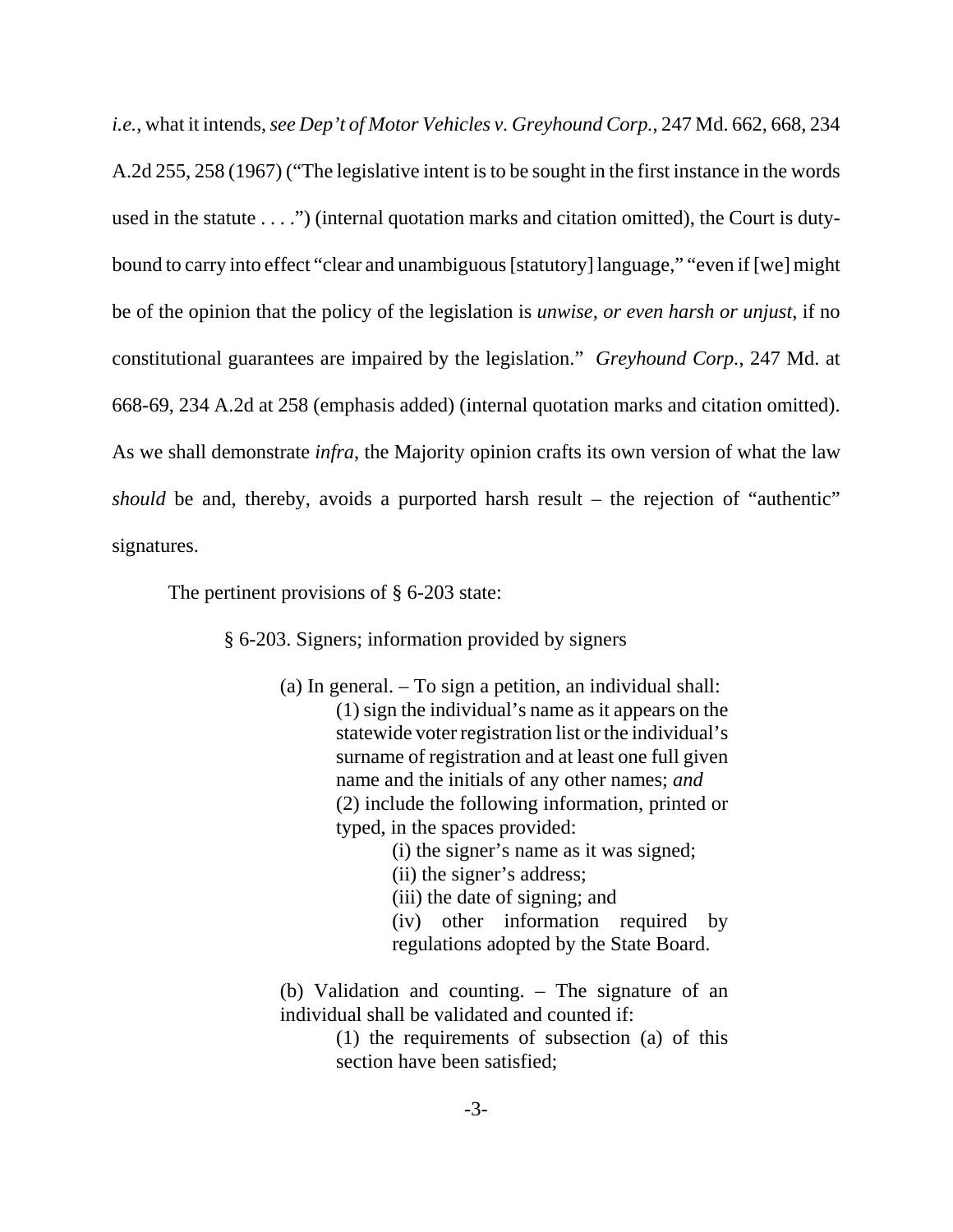*i.e.*, what it intends, *see Dep't of Motor Vehicles v. Greyhound Corp.*, 247 Md. 662, 668, 234 A.2d 255, 258 (1967) ("The legislative intent is to be sought in the first instance in the words used in the statute . . . .") (internal quotation marks and citation omitted), the Court is dutybound to carry into effect "clear and unambiguous [statutory] language," "even if [we] might be of the opinion that the policy of the legislation is *unwise, or even harsh or unjust*, if no constitutional guarantees are impaired by the legislation." *Greyhound Corp.*, 247 Md. at 668-69, 234 A.2d at 258 (emphasis added) (internal quotation marks and citation omitted). As we shall demonstrate *infra*, the Majority opinion crafts its own version of what the law *should* be and, thereby, avoids a purported harsh result – the rejection of "authentic" signatures.

The pertinent provisions of  $\S$  6-203 state:

§ 6-203. Signers; information provided by signers

(a) In general. – To sign a petition, an individual shall: (1) sign the individual's name as it appears on the statewide voter registration list or the individual's surname of registration and at least one full given name and the initials of any other names; *and* (2) include the following information, printed or typed, in the spaces provided:

(i) the signer's name as it was signed;

(ii) the signer's address;

(iii) the date of signing; and

(iv) other information required by regulations adopted by the State Board.

(b) Validation and counting. – The signature of an individual shall be validated and counted if:

> (1) the requirements of subsection (a) of this section have been satisfied;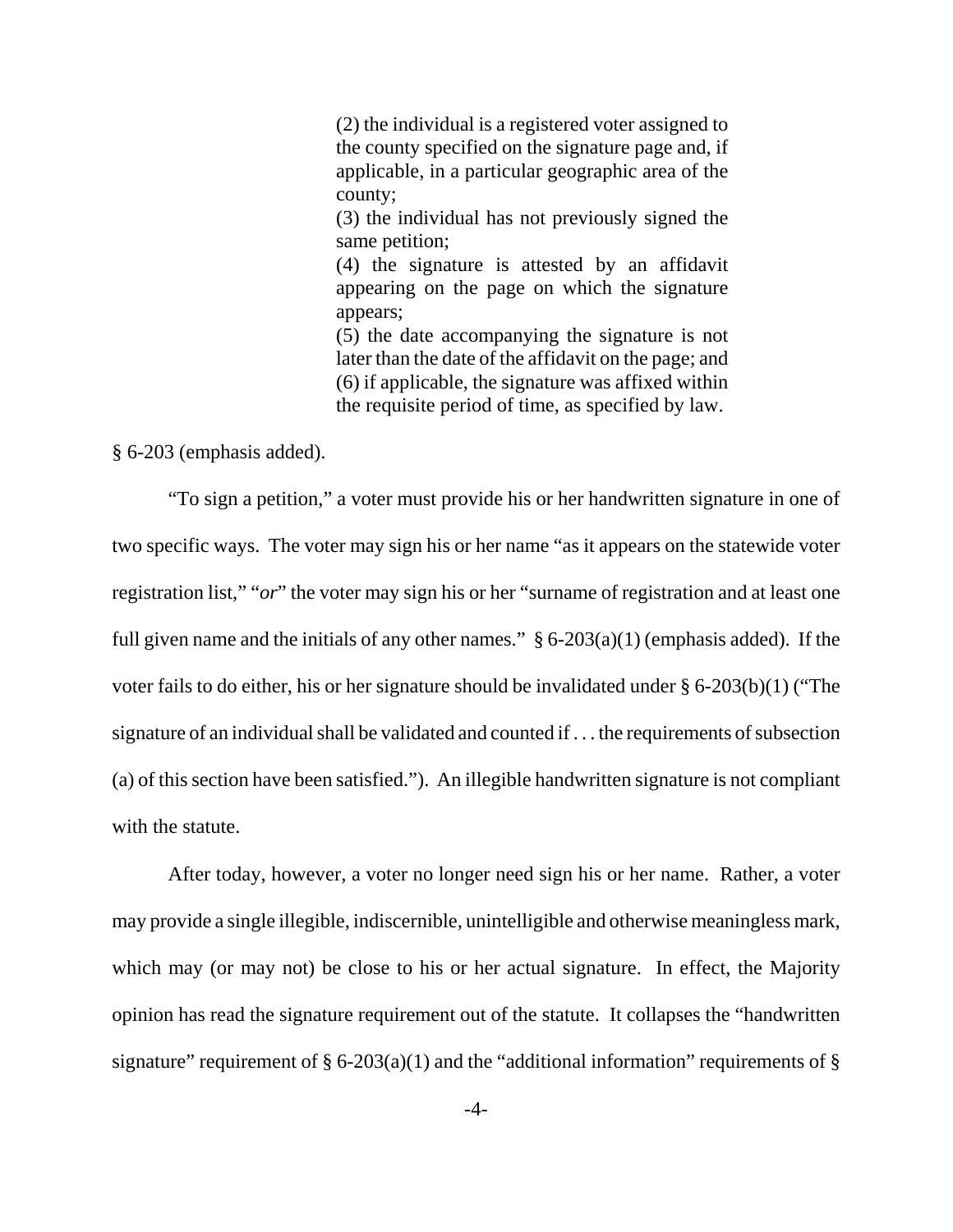(2) the individual is a registered voter assigned to the county specified on the signature page and, if applicable, in a particular geographic area of the county;

(3) the individual has not previously signed the same petition;

(4) the signature is attested by an affidavit appearing on the page on which the signature appears;

(5) the date accompanying the signature is not later than the date of the affidavit on the page; and (6) if applicable, the signature was affixed within the requisite period of time, as specified by law.

§ 6-203 (emphasis added).

"To sign a petition," a voter must provide his or her handwritten signature in one of two specific ways. The voter may sign his or her name "as it appears on the statewide voter registration list," "*or*" the voter may sign his or her "surname of registration and at least one full given name and the initials of any other names."  $§ 6-203(a)(1)$  (emphasis added). If the voter fails to do either, his or her signature should be invalidated under § 6-203(b)(1) ("The signature of an individual shall be validated and counted if . . . the requirements of subsection (a) of this section have been satisfied."). An illegible handwritten signature is not compliant with the statute.

After today, however, a voter no longer need sign his or her name. Rather, a voter may provide a single illegible, indiscernible, unintelligible and otherwise meaningless mark, which may (or may not) be close to his or her actual signature. In effect, the Majority opinion has read the signature requirement out of the statute. It collapses the "handwritten signature" requirement of § 6-203(a)(1) and the "additional information" requirements of §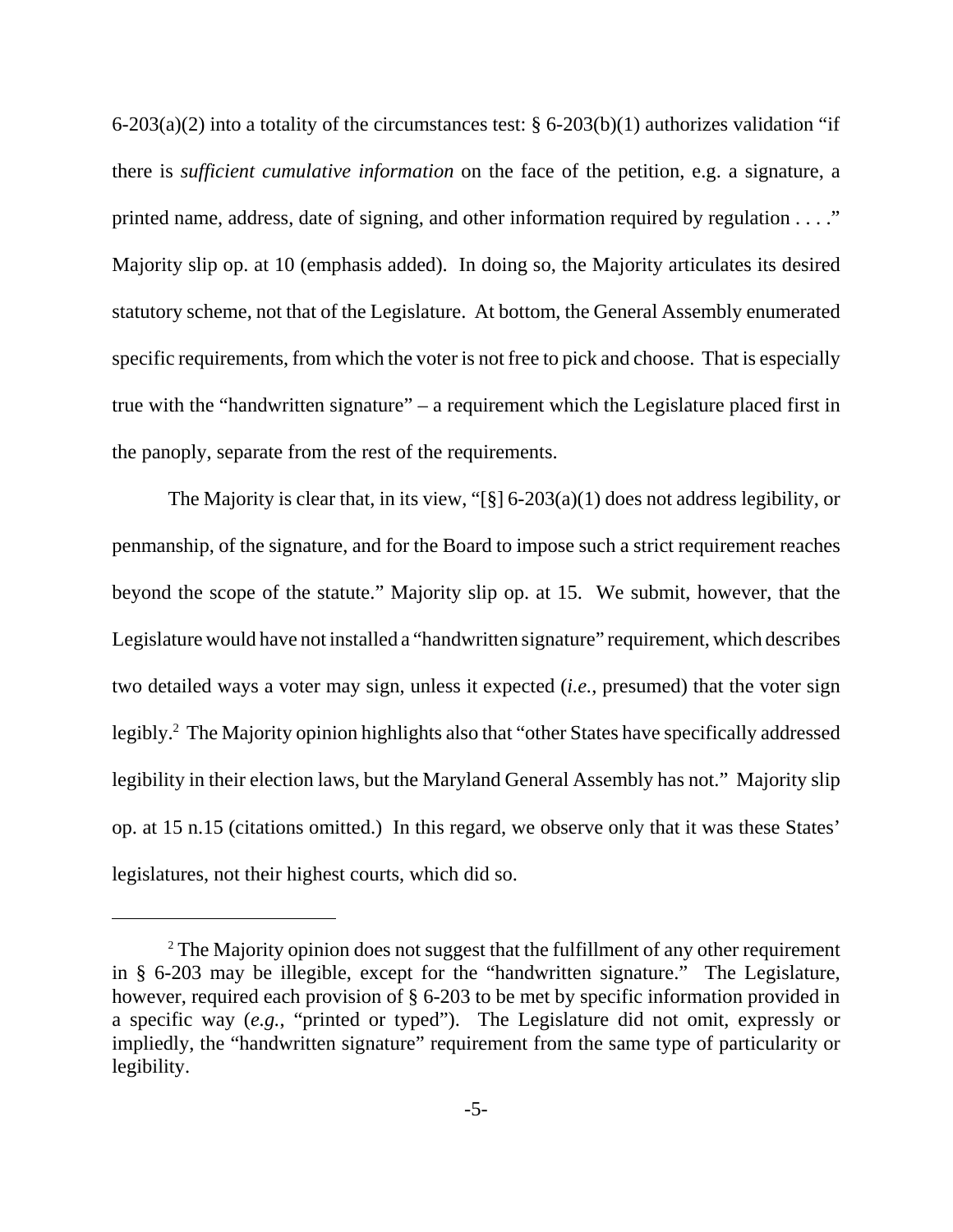$6-203(a)(2)$  into a totality of the circumstances test: §  $6-203(b)(1)$  authorizes validation "if there is *sufficient cumulative information* on the face of the petition, e.g. a signature, a printed name, address, date of signing, and other information required by regulation . . . ." Majority slip op. at 10 (emphasis added). In doing so, the Majority articulates its desired statutory scheme, not that of the Legislature. At bottom, the General Assembly enumerated specific requirements, from which the voter is not free to pick and choose. That is especially true with the "handwritten signature" – a requirement which the Legislature placed first in the panoply, separate from the rest of the requirements.

The Majority is clear that, in its view, "[§]  $6-203(a)(1)$  does not address legibility, or penmanship, of the signature, and for the Board to impose such a strict requirement reaches beyond the scope of the statute." Majority slip op. at 15. We submit, however, that the Legislature would have not installed a "handwritten signature" requirement, which describes two detailed ways a voter may sign, unless it expected (*i.e.*, presumed) that the voter sign legibly.<sup>2</sup> The Majority opinion highlights also that "other States have specifically addressed legibility in their election laws, but the Maryland General Assembly has not." Majority slip op. at 15 n.15 (citations omitted.) In this regard, we observe only that it was these States' legislatures, not their highest courts, which did so.

 $2^2$  The Majority opinion does not suggest that the fulfillment of any other requirement in § 6-203 may be illegible, except for the "handwritten signature." The Legislature, however, required each provision of § 6-203 to be met by specific information provided in a specific way (*e.g.*, "printed or typed"). The Legislature did not omit, expressly or impliedly, the "handwritten signature" requirement from the same type of particularity or legibility.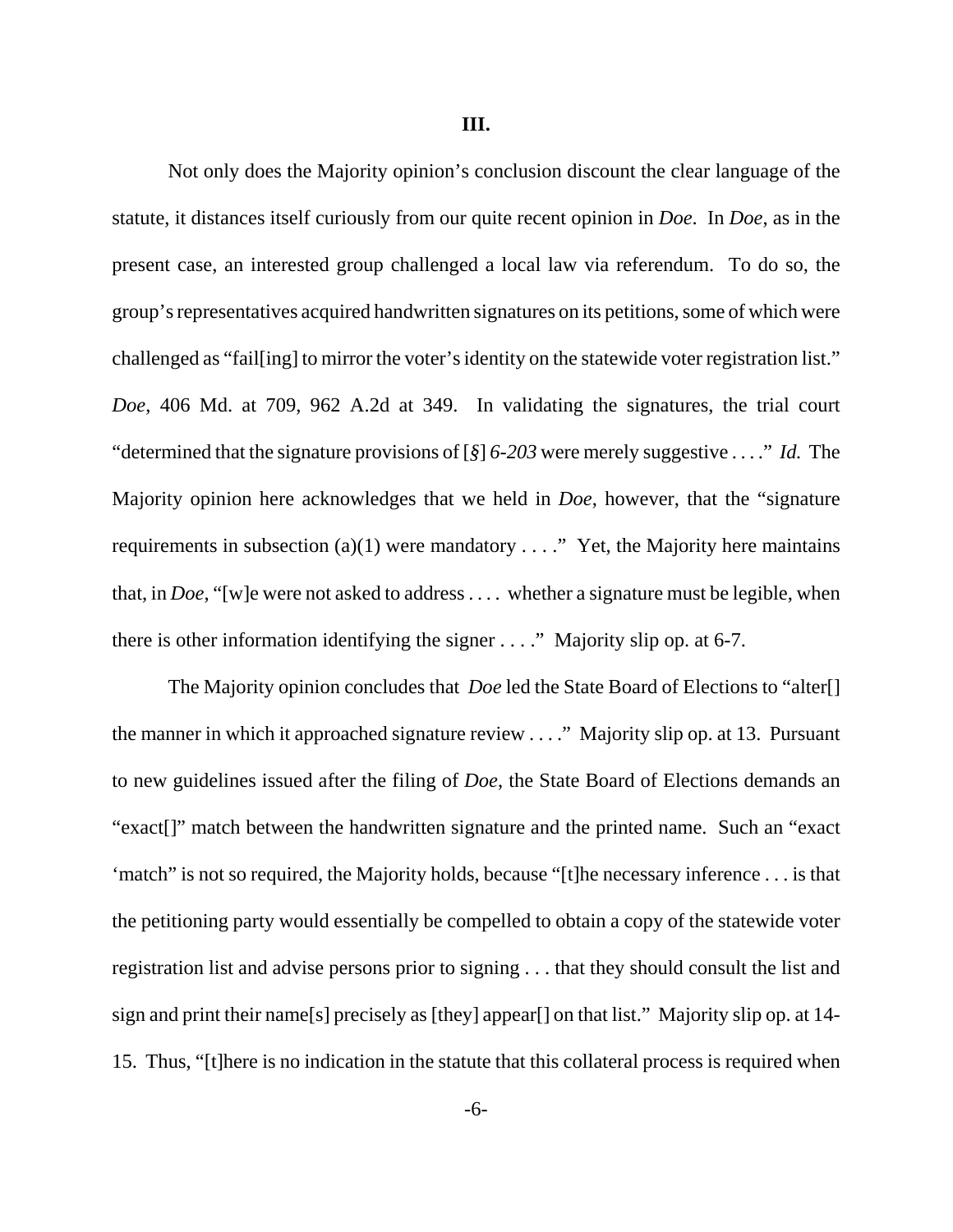Not only does the Majority opinion's conclusion discount the clear language of the statute, it distances itself curiously from our quite recent opinion in *Doe*. In *Doe*, as in the present case, an interested group challenged a local law via referendum. To do so, the group's representatives acquired handwritten signatures on its petitions, some of which were challenged as "fail[ing] to mirror the voter's identity on the statewide voter registration list." *Doe*, 406 Md. at 709, 962 A.2d at 349. In validating the signatures, the trial court "determined that the signature provisions of [*§*] *6-203* were merely suggestive . . . ." *Id.* The Majority opinion here acknowledges that we held in *Doe*, however, that the "signature requirements in subsection (a)(1) were mandatory  $\dots$ ." Yet, the Majority here maintains that, in *Doe*, "[w]e were not asked to address . . . . whether a signature must be legible, when there is other information identifying the signer . . . ." Majority slip op. at 6-7.

The Majority opinion concludes that *Doe* led the State Board of Elections to "alter[] the manner in which it approached signature review . . . ." Majority slip op. at 13. Pursuant to new guidelines issued after the filing of *Doe*, the State Board of Elections demands an "exact[]" match between the handwritten signature and the printed name. Such an "exact 'match" is not so required, the Majority holds, because "[t]he necessary inference . . . is that the petitioning party would essentially be compelled to obtain a copy of the statewide voter registration list and advise persons prior to signing . . . that they should consult the list and sign and print their name[s] precisely as [they] appear[] on that list." Majority slip op. at 14- 15. Thus, "[t]here is no indication in the statute that this collateral process is required when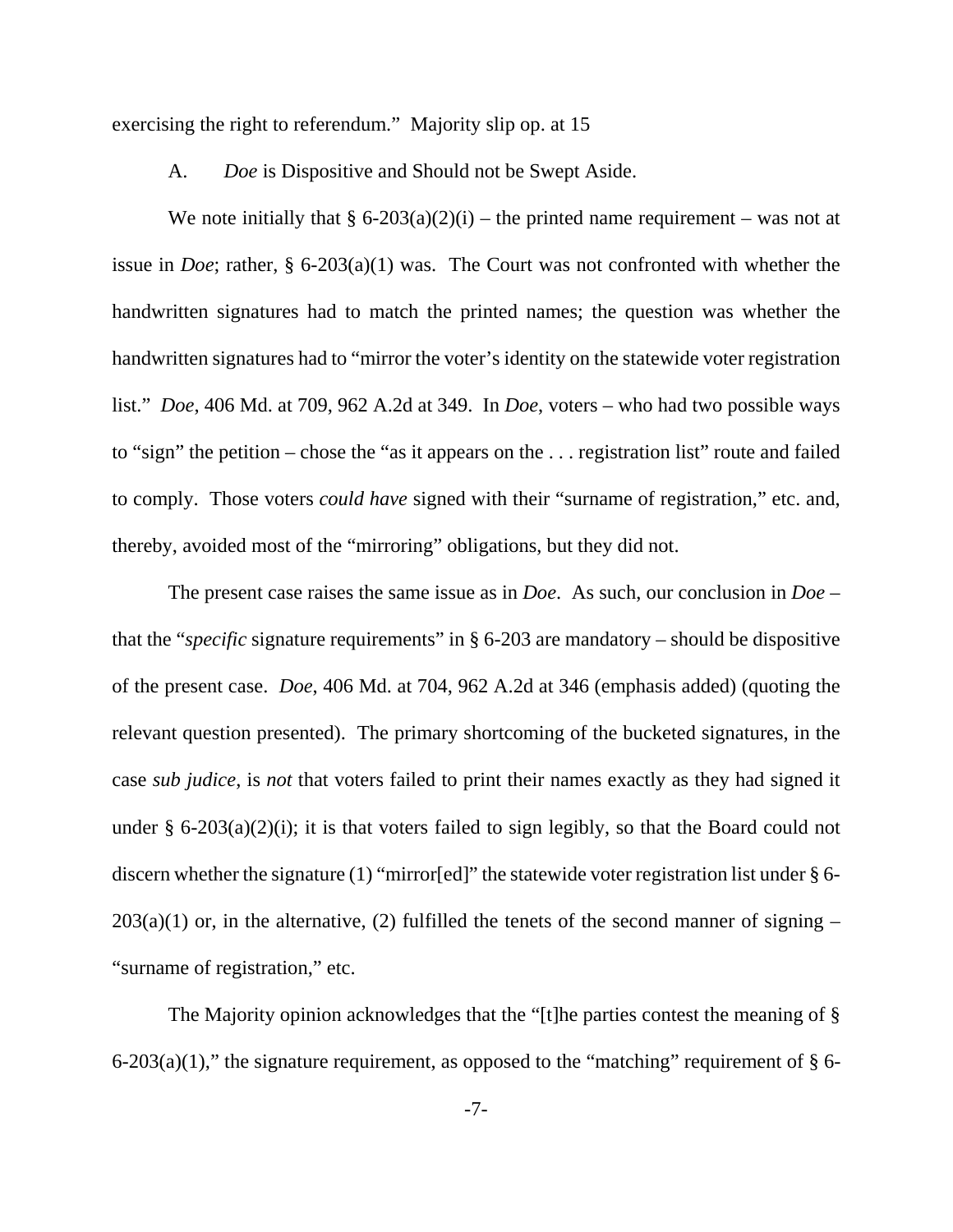exercising the right to referendum." Majority slip op. at 15

A. *Doe* is Dispositive and Should not be Swept Aside.

We note initially that §  $6-203(a)(2)(i)$  – the printed name requirement – was not at issue in *Doe*; rather, § 6-203(a)(1) was. The Court was not confronted with whether the handwritten signatures had to match the printed names; the question was whether the handwritten signatures had to "mirror the voter's identity on the statewide voter registration list." *Doe*, 406 Md. at 709, 962 A.2d at 349. In *Doe*, voters – who had two possible ways to "sign" the petition – chose the "as it appears on the . . . registration list" route and failed to comply. Those voters *could have* signed with their "surname of registration," etc. and, thereby, avoided most of the "mirroring" obligations, but they did not.

The present case raises the same issue as in *Doe*. As such, our conclusion in *Doe* – that the "*specific* signature requirements" in § 6-203 are mandatory – should be dispositive of the present case. *Doe*, 406 Md. at 704, 962 A.2d at 346 (emphasis added) (quoting the relevant question presented). The primary shortcoming of the bucketed signatures, in the case *sub judice*, is *not* that voters failed to print their names exactly as they had signed it under  $\S$  6-203(a)(2)(i); it is that voters failed to sign legibly, so that the Board could not discern whether the signature (1) "mirror[ed]" the statewide voter registration list under § 6-  $203(a)(1)$  or, in the alternative, (2) fulfilled the tenets of the second manner of signing – "surname of registration," etc.

The Majority opinion acknowledges that the "[t]he parties contest the meaning of §  $6-203(a)(1)$ ," the signature requirement, as opposed to the "matching" requirement of § 6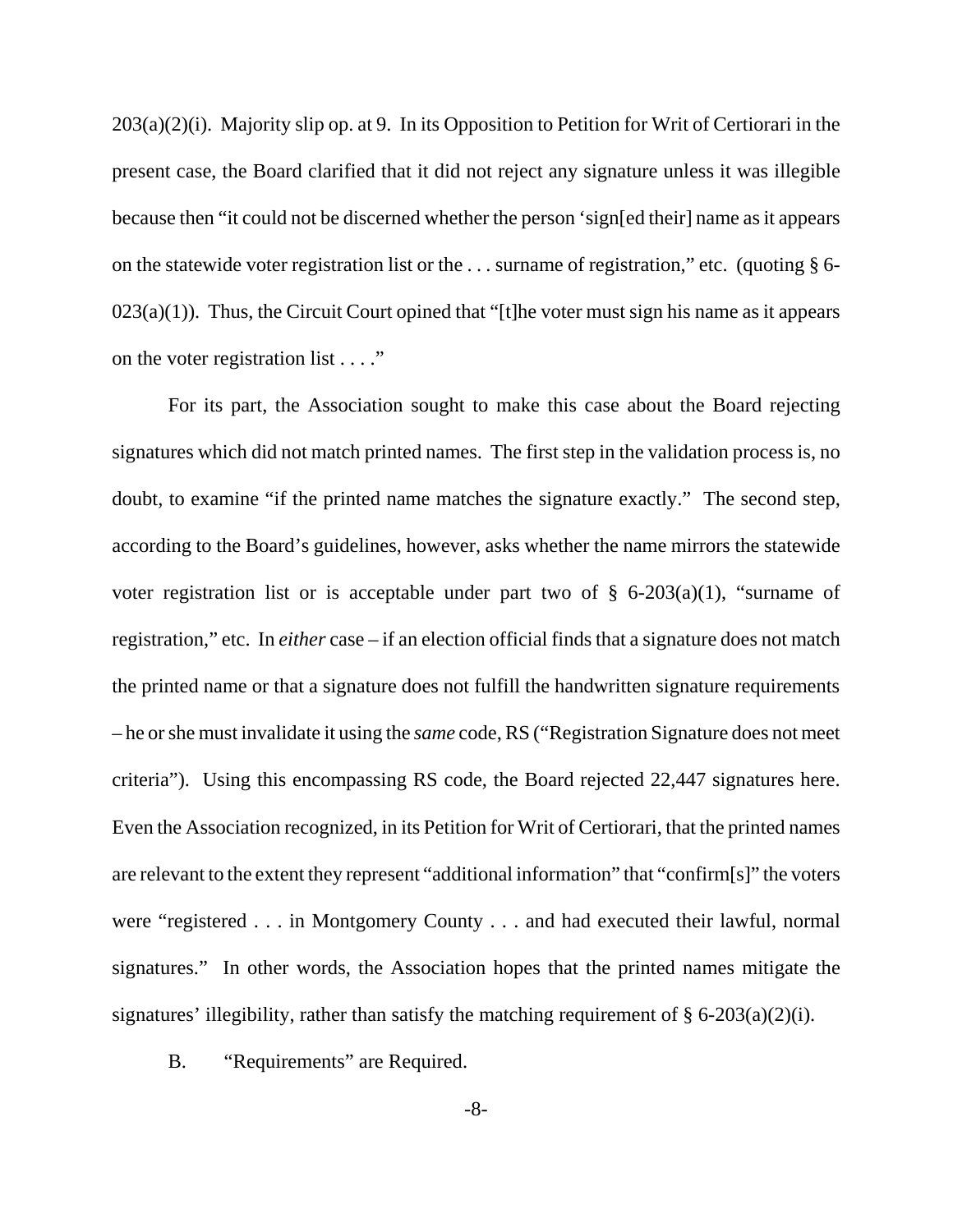203(a)(2)(i). Majority slip op. at 9. In its Opposition to Petition for Writ of Certiorari in the present case, the Board clarified that it did not reject any signature unless it was illegible because then "it could not be discerned whether the person 'sign[ed their] name as it appears on the statewide voter registration list or the . . . surname of registration," etc. (quoting § 6-  $023(a)(1)$ ). Thus, the Circuit Court opined that "[t]he voter must sign his name as it appears on the voter registration list . . . ."

For its part, the Association sought to make this case about the Board rejecting signatures which did not match printed names. The first step in the validation process is, no doubt, to examine "if the printed name matches the signature exactly." The second step, according to the Board's guidelines, however, asks whether the name mirrors the statewide voter registration list or is acceptable under part two of  $\S$  6-203(a)(1), "surname of registration," etc. In *either* case – if an election official finds that a signature does not match the printed name or that a signature does not fulfill the handwritten signature requirements – he or she must invalidate it using the *same* code, RS ("Registration Signature does not meet criteria"). Using this encompassing RS code, the Board rejected 22,447 signatures here. Even the Association recognized, in its Petition for Writ of Certiorari, that the printed names are relevant to the extent they represent "additional information" that "confirm[s]" the voters were "registered . . . in Montgomery County . . . and had executed their lawful, normal signatures." In other words, the Association hopes that the printed names mitigate the signatures' illegibility, rather than satisfy the matching requirement of  $\S 6-203(a)(2)(i)$ .

B. "Requirements" are Required.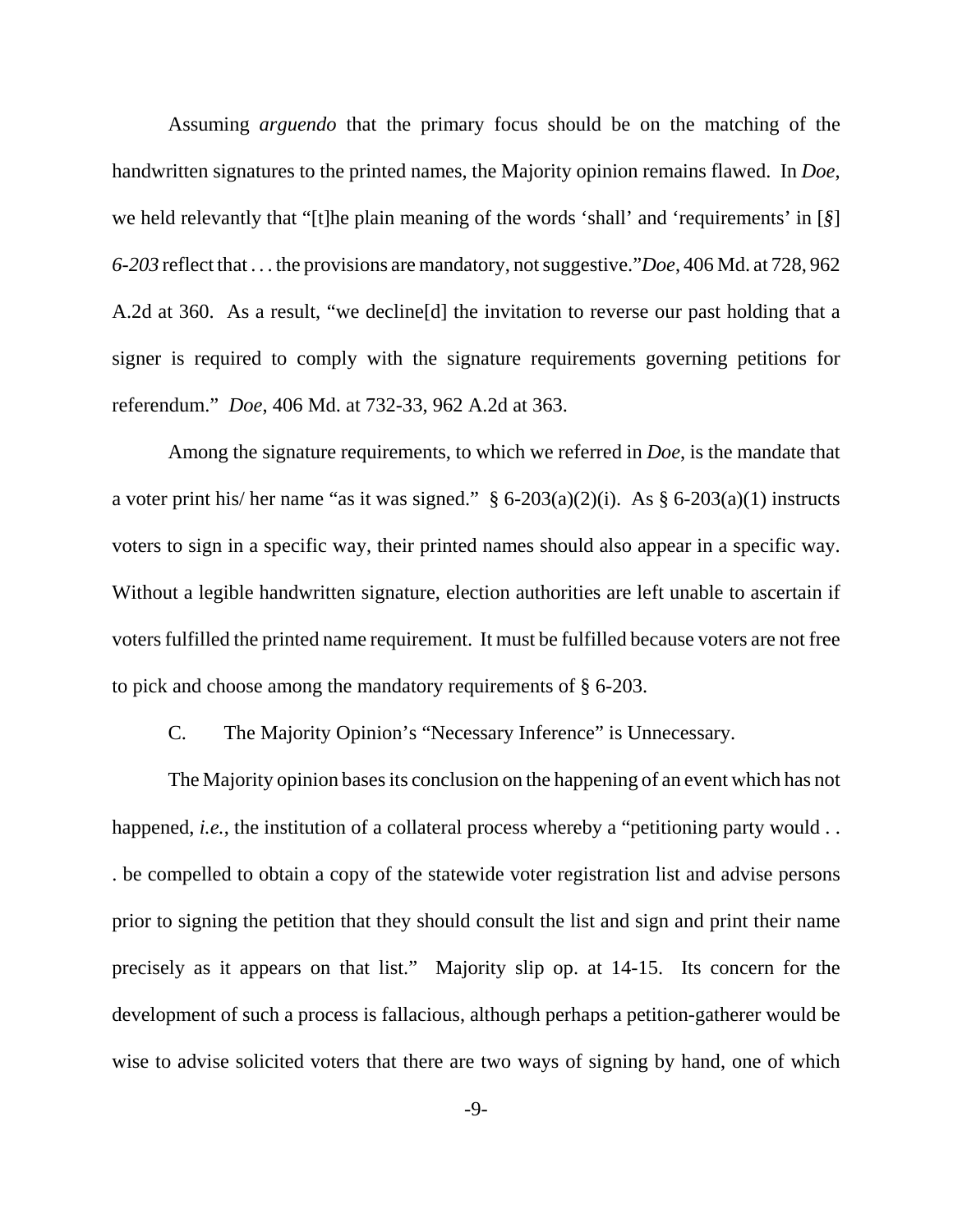Assuming *arguendo* that the primary focus should be on the matching of the handwritten signatures to the printed names, the Majority opinion remains flawed. In *Doe*, we held relevantly that "[t]he plain meaning of the words 'shall' and 'requirements' in [*§*] *6-203* reflect that . . . the provisions are mandatory, not suggestive."*Doe*, 406 Md. at 728, 962 A.2d at 360. As a result, "we decline[d] the invitation to reverse our past holding that a signer is required to comply with the signature requirements governing petitions for referendum." *Doe*, 406 Md. at 732-33, 962 A.2d at 363.

Among the signature requirements, to which we referred in *Doe*, is the mandate that a voter print his/ her name "as it was signed."  $\S 6{\text -}203(a)(2)(i)$ . As  $\S 6{\text -}203(a)(1)$  instructs voters to sign in a specific way, their printed names should also appear in a specific way. Without a legible handwritten signature, election authorities are left unable to ascertain if voters fulfilled the printed name requirement. It must be fulfilled because voters are not free to pick and choose among the mandatory requirements of § 6-203.

C. The Majority Opinion's "Necessary Inference" is Unnecessary.

The Majority opinion bases its conclusion on the happening of an event which has not happened, *i.e.*, the institution of a collateral process whereby a "petitioning party would . . . be compelled to obtain a copy of the statewide voter registration list and advise persons prior to signing the petition that they should consult the list and sign and print their name precisely as it appears on that list." Majority slip op. at 14-15. Its concern for the development of such a process is fallacious, although perhaps a petition-gatherer would be wise to advise solicited voters that there are two ways of signing by hand, one of which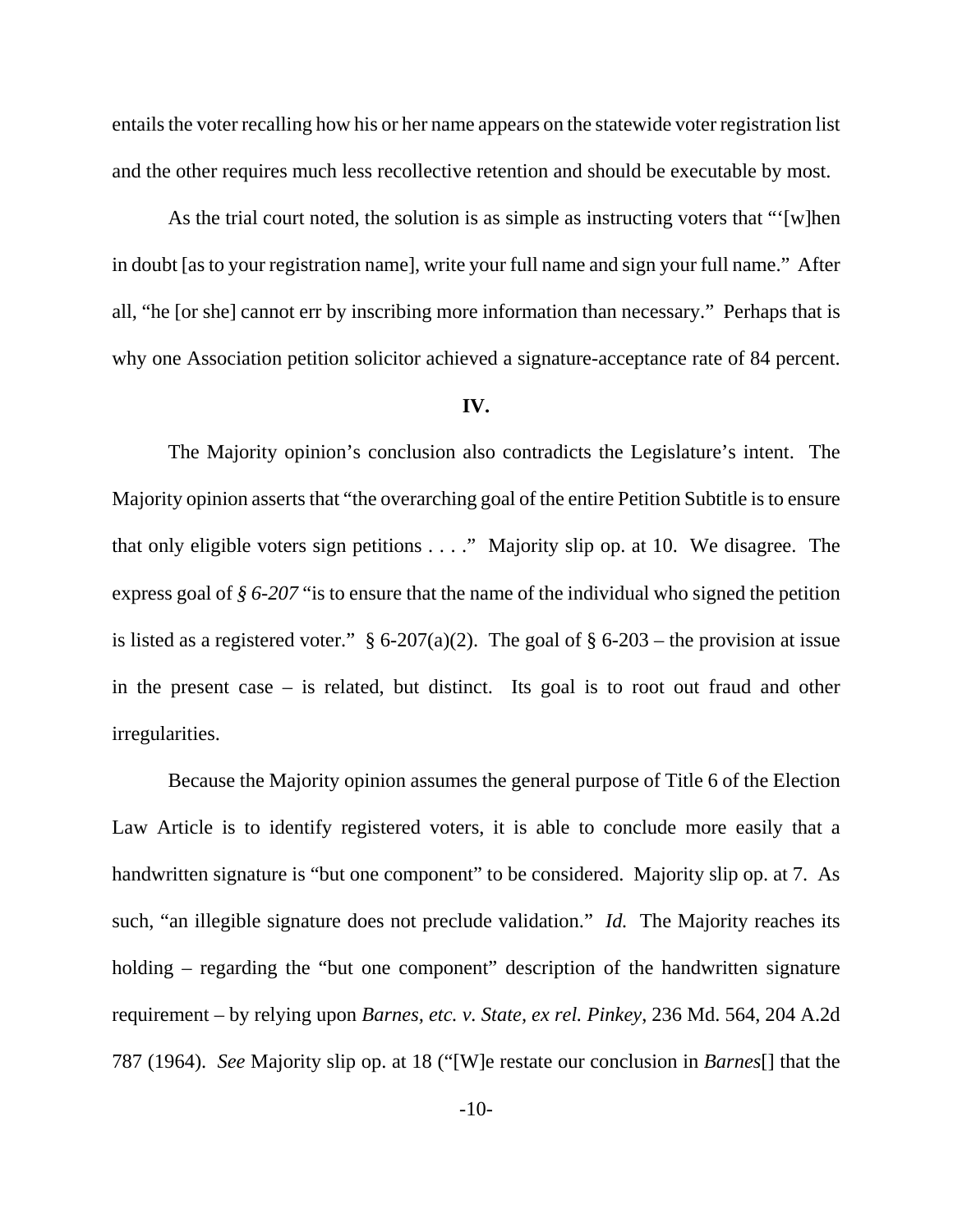entails the voter recalling how his or her name appears on the statewide voter registration list and the other requires much less recollective retention and should be executable by most.

As the trial court noted, the solution is as simple as instructing voters that "'[w]hen in doubt [as to your registration name], write your full name and sign your full name." After all, "he [or she] cannot err by inscribing more information than necessary." Perhaps that is why one Association petition solicitor achieved a signature-acceptance rate of 84 percent.

### **IV.**

The Majority opinion's conclusion also contradicts the Legislature's intent. The Majority opinion asserts that "the overarching goal of the entire Petition Subtitle is to ensure that only eligible voters sign petitions . . . ." Majority slip op. at 10. We disagree. The express goal of *§ 6-207* "is to ensure that the name of the individual who signed the petition is listed as a registered voter."  $\S 6{\text -}207(a)(2)$ . The goal of  $\S 6{\text -}203$  – the provision at issue in the present case – is related, but distinct. Its goal is to root out fraud and other irregularities.

Because the Majority opinion assumes the general purpose of Title 6 of the Election Law Article is to identify registered voters, it is able to conclude more easily that a handwritten signature is "but one component" to be considered. Majority slip op. at 7. As such, "an illegible signature does not preclude validation." *Id.* The Majority reaches its holding – regarding the "but one component" description of the handwritten signature requirement – by relying upon *Barnes, etc. v. State, ex rel. Pinkey*, 236 Md. 564, 204 A.2d 787 (1964). *See* Majority slip op. at 18 ("[W]e restate our conclusion in *Barnes*[] that the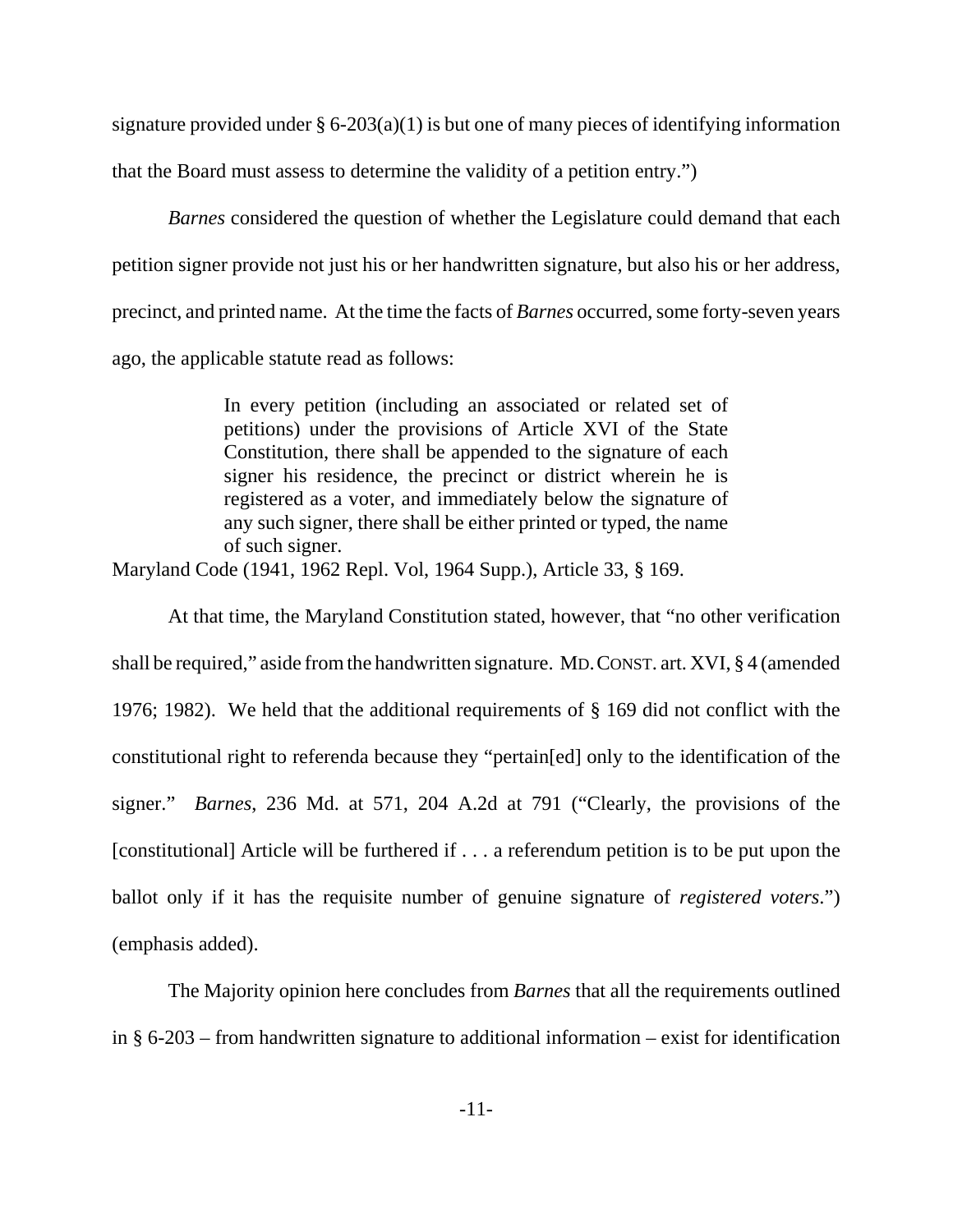signature provided under  $\S 6-203(a)(1)$  is but one of many pieces of identifying information that the Board must assess to determine the validity of a petition entry.")

*Barnes* considered the question of whether the Legislature could demand that each petition signer provide not just his or her handwritten signature, but also his or her address, precinct, and printed name. At the time the facts of *Barnes* occurred, some forty-seven years ago, the applicable statute read as follows:

> In every petition (including an associated or related set of petitions) under the provisions of Article XVI of the State Constitution, there shall be appended to the signature of each signer his residence, the precinct or district wherein he is registered as a voter, and immediately below the signature of any such signer, there shall be either printed or typed, the name of such signer.

Maryland Code (1941, 1962 Repl. Vol, 1964 Supp.), Article 33, § 169.

At that time, the Maryland Constitution stated, however, that "no other verification shall be required," aside from the handwritten signature. MD.CONST. art. XVI, § 4 (amended 1976; 1982). We held that the additional requirements of § 169 did not conflict with the constitutional right to referenda because they "pertain[ed] only to the identification of the signer." *Barnes*, 236 Md. at 571, 204 A.2d at 791 ("Clearly, the provisions of the [constitutional] Article will be furthered if . . . a referendum petition is to be put upon the ballot only if it has the requisite number of genuine signature of *registered voters*.") (emphasis added).

The Majority opinion here concludes from *Barnes* that all the requirements outlined in § 6-203 – from handwritten signature to additional information – exist for identification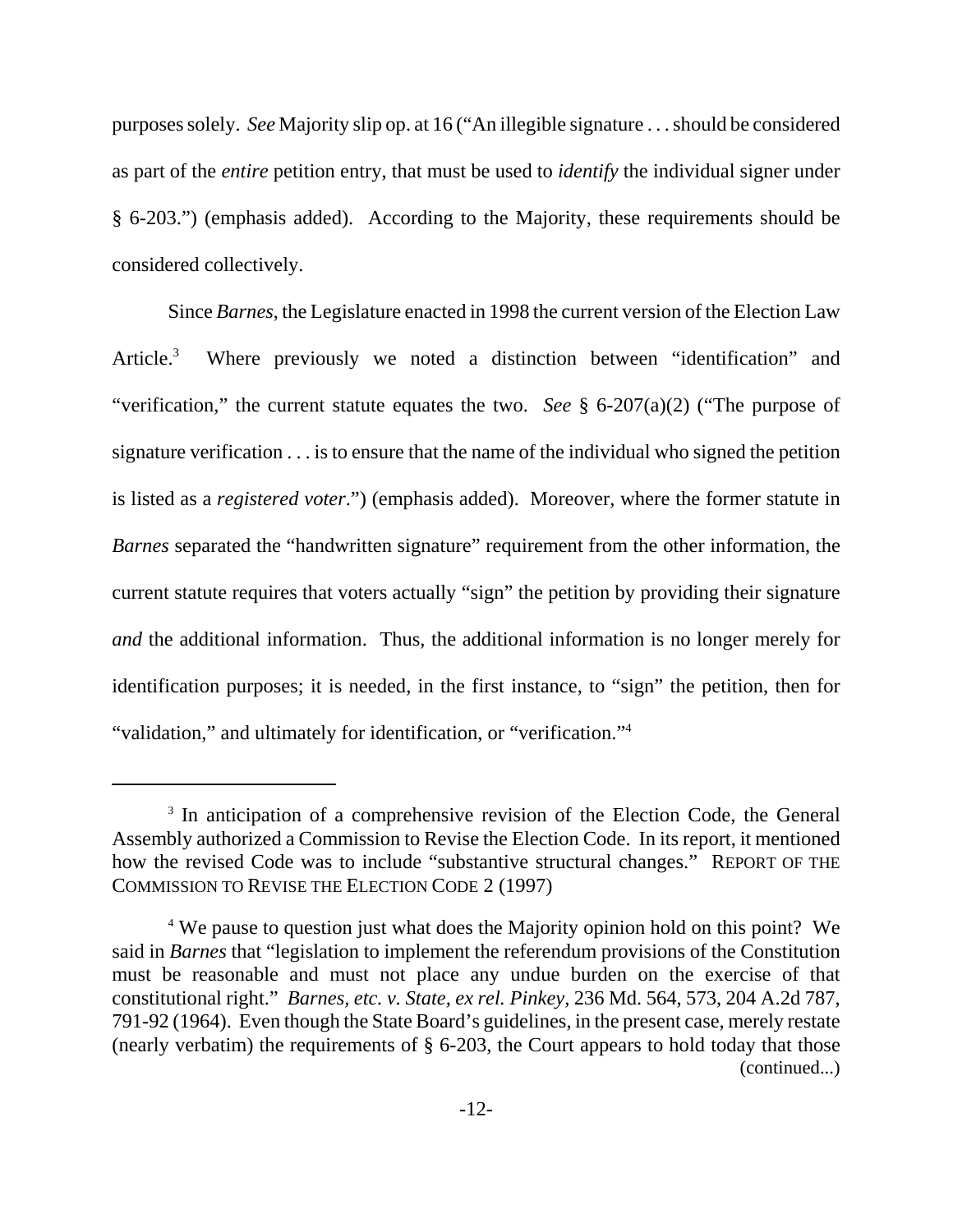purposes solely. *See* Majority slip op. at 16 ("An illegible signature . . . should be considered as part of the *entire* petition entry, that must be used to *identify* the individual signer under § 6-203.") (emphasis added). According to the Majority, these requirements should be considered collectively.

Since *Barnes*, the Legislature enacted in 1998 the current version of the Election Law Article.<sup>3</sup> Where previously we noted a distinction between "identification" and "verification," the current statute equates the two. *See* § 6-207(a)(2) ("The purpose of signature verification . . . is to ensure that the name of the individual who signed the petition is listed as a *registered voter*.") (emphasis added). Moreover, where the former statute in *Barnes* separated the "handwritten signature" requirement from the other information, the current statute requires that voters actually "sign" the petition by providing their signature *and* the additional information. Thus, the additional information is no longer merely for identification purposes; it is needed, in the first instance, to "sign" the petition, then for "validation," and ultimately for identification, or "verification."4

<sup>&</sup>lt;sup>3</sup> In anticipation of a comprehensive revision of the Election Code, the General Assembly authorized a Commission to Revise the Election Code. In its report, it mentioned how the revised Code was to include "substantive structural changes." REPORT OF THE COMMISSION TO REVISE THE ELECTION CODE 2 (1997)

<sup>&</sup>lt;sup>4</sup> We pause to question just what does the Majority opinion hold on this point? We said in *Barnes* that "legislation to implement the referendum provisions of the Constitution must be reasonable and must not place any undue burden on the exercise of that constitutional right." *Barnes, etc. v. State, ex rel. Pinkey*, 236 Md. 564, 573, 204 A.2d 787, 791-92 (1964). Even though the State Board's guidelines, in the present case, merely restate (nearly verbatim) the requirements of § 6-203, the Court appears to hold today that those (continued...)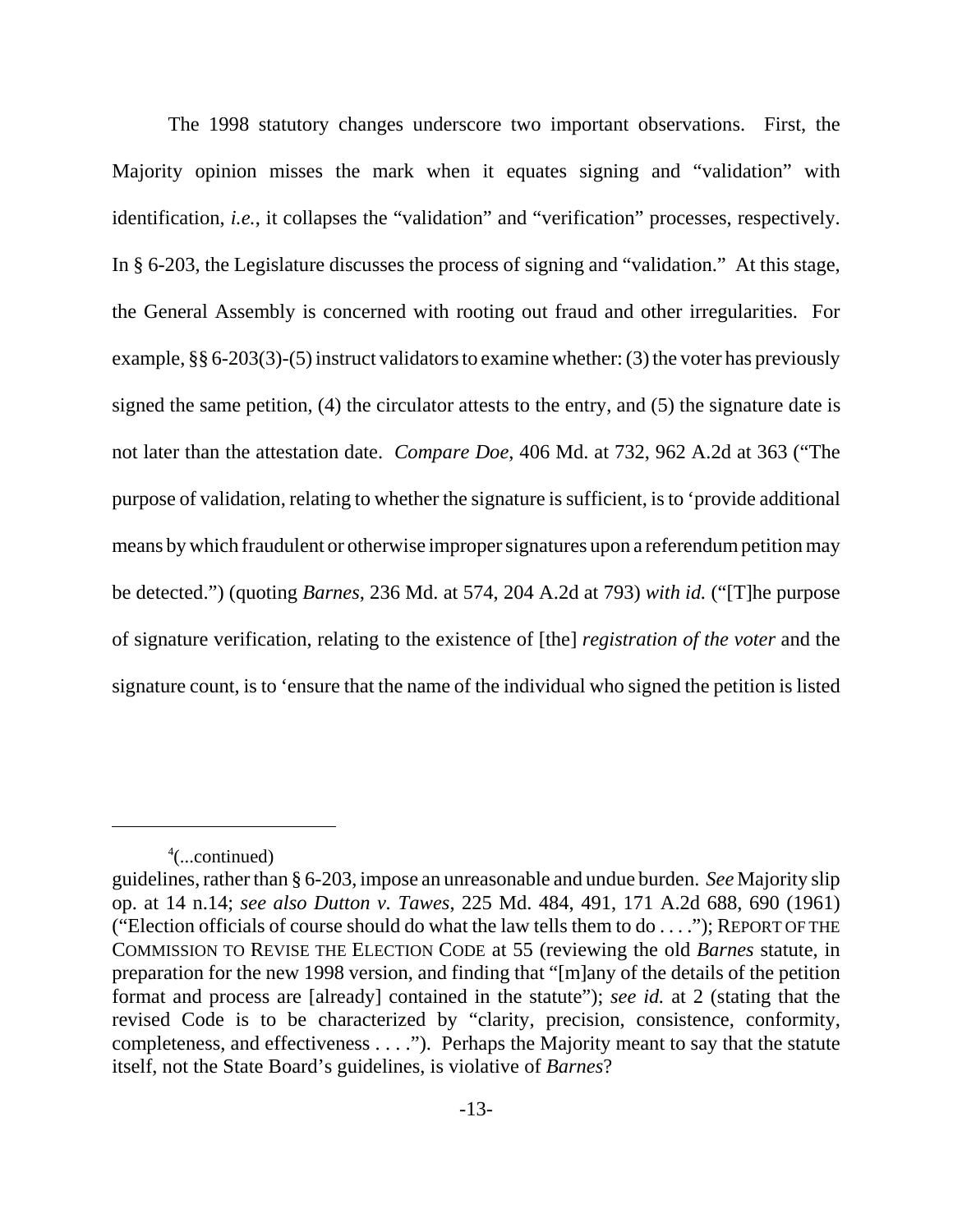The 1998 statutory changes underscore two important observations. First, the Majority opinion misses the mark when it equates signing and "validation" with identification, *i.e.*, it collapses the "validation" and "verification" processes, respectively. In § 6-203, the Legislature discusses the process of signing and "validation." At this stage, the General Assembly is concerned with rooting out fraud and other irregularities. For example, §§ 6-203(3)-(5) instruct validators to examine whether: (3) the voter has previously signed the same petition, (4) the circulator attests to the entry, and (5) the signature date is not later than the attestation date. *Compare Doe*, 406 Md. at 732, 962 A.2d at 363 ("The purpose of validation, relating to whether the signature is sufficient, is to 'provide additional means by which fraudulent or otherwise improper signatures upon a referendum petition may be detected.") (quoting *Barnes*, 236 Md. at 574, 204 A.2d at 793) *with id.* ("[T]he purpose of signature verification, relating to the existence of [the] *registration of the voter* and the signature count, is to 'ensure that the name of the individual who signed the petition is listed

<sup>4</sup> (...continued)

guidelines, rather than § 6-203, impose an unreasonable and undue burden. *See* Majority slip op. at 14 n.14; *see also Dutton v. Tawes*, 225 Md. 484, 491, 171 A.2d 688, 690 (1961) ("Election officials of course should do what the law tells them to do . . . ."); REPORT OF THE COMMISSION TO REVISE THE ELECTION CODE at 55 (reviewing the old *Barnes* statute, in preparation for the new 1998 version, and finding that "[m]any of the details of the petition format and process are [already] contained in the statute"); *see id.* at 2 (stating that the revised Code is to be characterized by "clarity, precision, consistence, conformity, completeness, and effectiveness . . . ."). Perhaps the Majority meant to say that the statute itself, not the State Board's guidelines, is violative of *Barnes*?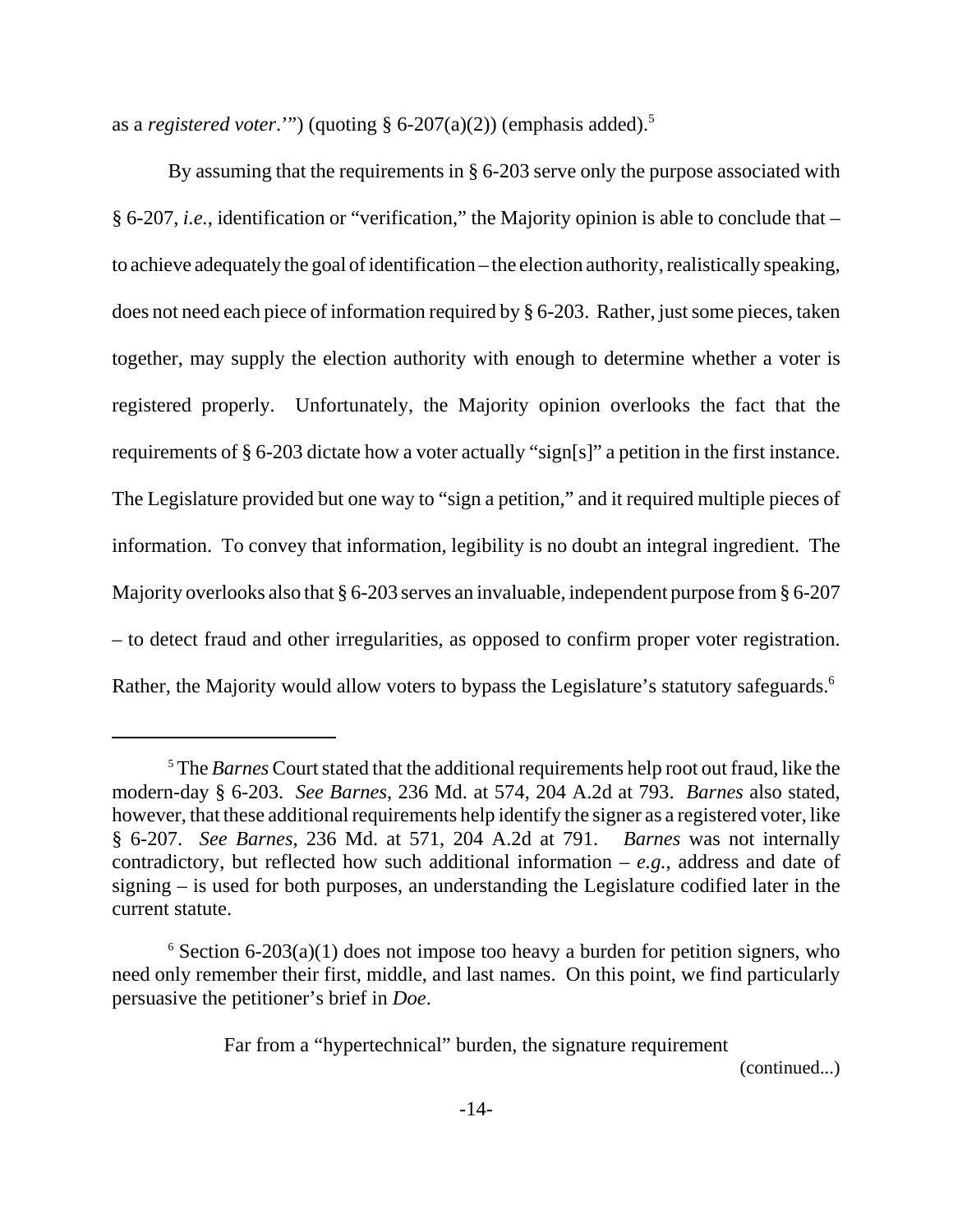as a *registered voter*."") (quoting  $\S$  6-207(a)(2)) (emphasis added).<sup>5</sup>

By assuming that the requirements in § 6-203 serve only the purpose associated with § 6-207, *i.e.*, identification or "verification," the Majority opinion is able to conclude that – to achieve adequately the goal of identification – the election authority, realistically speaking, does not need each piece of information required by § 6-203. Rather, just some pieces, taken together, may supply the election authority with enough to determine whether a voter is registered properly. Unfortunately, the Majority opinion overlooks the fact that the requirements of § 6-203 dictate how a voter actually "sign[s]" a petition in the first instance. The Legislature provided but one way to "sign a petition," and it required multiple pieces of information. To convey that information, legibility is no doubt an integral ingredient. The Majority overlooks also that § 6-203 serves an invaluable, independent purpose from § 6-207 – to detect fraud and other irregularities, as opposed to confirm proper voter registration. Rather, the Majority would allow voters to bypass the Legislature's statutory safeguards.<sup>6</sup>

Far from a "hypertechnical" burden, the signature requirement

(continued...)

<sup>5</sup> The *Barnes* Court stated that the additional requirements help root out fraud, like the modern-day § 6-203. *See Barnes*, 236 Md. at 574, 204 A.2d at 793. *Barnes* also stated, however, that these additional requirements help identify the signer as a registered voter, like § 6-207. *See Barnes*, 236 Md. at 571, 204 A.2d at 791. *Barnes* was not internally contradictory, but reflected how such additional information – *e.g.*, address and date of signing – is used for both purposes, an understanding the Legislature codified later in the current statute.

 $6$  Section 6-203(a)(1) does not impose too heavy a burden for petition signers, who need only remember their first, middle, and last names. On this point, we find particularly persuasive the petitioner's brief in *Doe*.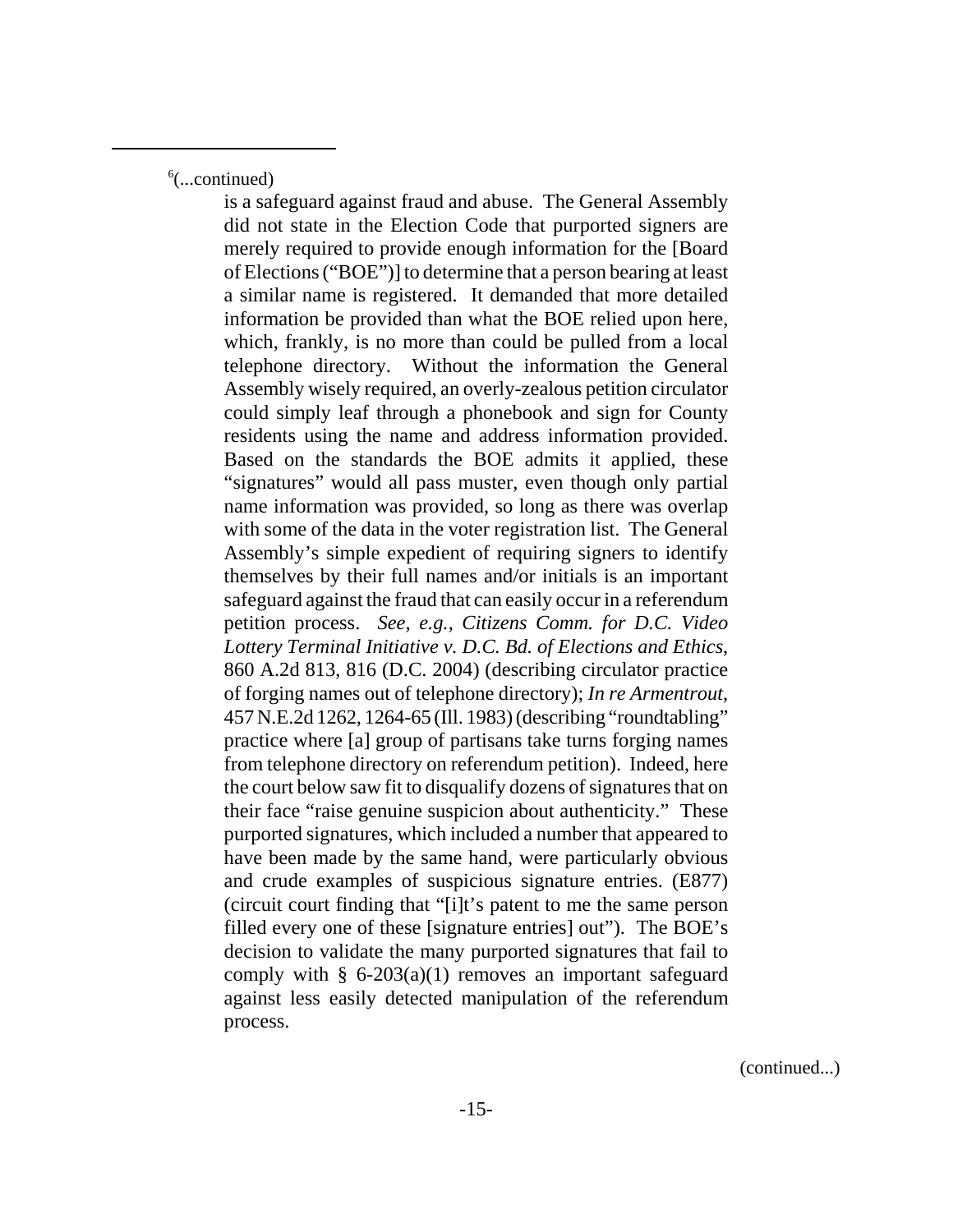6 (...continued)

is a safeguard against fraud and abuse. The General Assembly did not state in the Election Code that purported signers are merely required to provide enough information for the [Board of Elections ("BOE")] to determine that a person bearing at least a similar name is registered. It demanded that more detailed information be provided than what the BOE relied upon here, which, frankly, is no more than could be pulled from a local telephone directory. Without the information the General Assembly wisely required, an overly-zealous petition circulator could simply leaf through a phonebook and sign for County residents using the name and address information provided. Based on the standards the BOE admits it applied, these "signatures" would all pass muster, even though only partial name information was provided, so long as there was overlap with some of the data in the voter registration list. The General Assembly's simple expedient of requiring signers to identify themselves by their full names and/or initials is an important safeguard against the fraud that can easily occur in a referendum petition process. *See, e.g., Citizens Comm. for D.C. Video Lottery Terminal Initiative v. D.C. Bd. of Elections and Ethics*, 860 A.2d 813, 816 (D.C. 2004) (describing circulator practice of forging names out of telephone directory); *In re Armentrout*, 457 N.E.2d 1262, 1264-65 (Ill. 1983) (describing "roundtabling" practice where [a] group of partisans take turns forging names from telephone directory on referendum petition). Indeed, here the court below saw fit to disqualify dozens of signatures that on their face "raise genuine suspicion about authenticity." These purported signatures, which included a number that appeared to have been made by the same hand, were particularly obvious and crude examples of suspicious signature entries. (E877) (circuit court finding that "[i]t's patent to me the same person filled every one of these [signature entries] out"). The BOE's decision to validate the many purported signatures that fail to comply with  $\S$  6-203(a)(1) removes an important safeguard against less easily detected manipulation of the referendum process.

(continued...)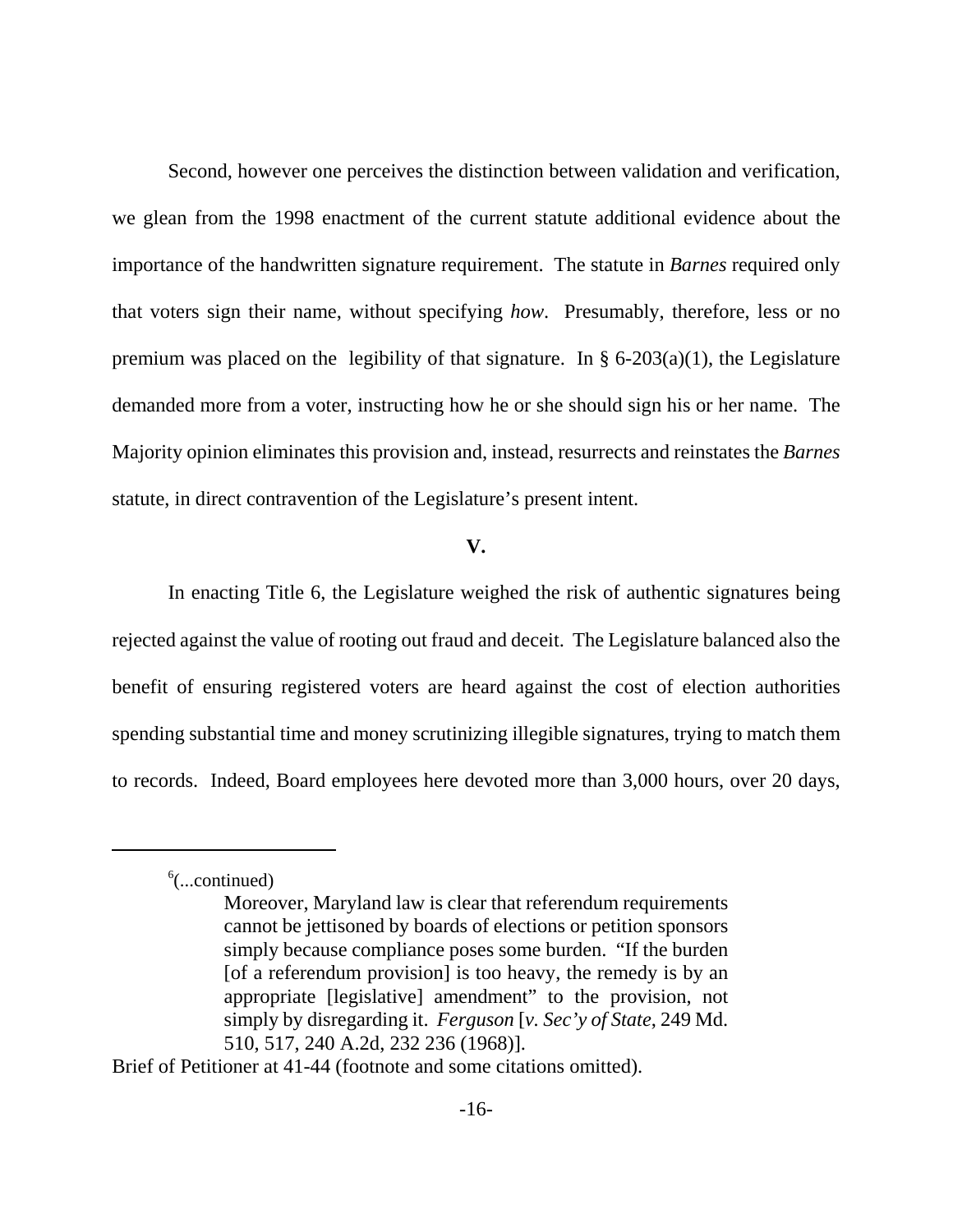Second, however one perceives the distinction between validation and verification, we glean from the 1998 enactment of the current statute additional evidence about the importance of the handwritten signature requirement. The statute in *Barnes* required only that voters sign their name, without specifying *how*. Presumably, therefore, less or no premium was placed on the legibility of that signature. In  $\S$  6-203(a)(1), the Legislature demanded more from a voter, instructing how he or she should sign his or her name. The Majority opinion eliminates this provision and, instead, resurrects and reinstates the *Barnes* statute, in direct contravention of the Legislature's present intent.

#### **V.**

In enacting Title 6, the Legislature weighed the risk of authentic signatures being rejected against the value of rooting out fraud and deceit. The Legislature balanced also the benefit of ensuring registered voters are heard against the cost of election authorities spending substantial time and money scrutinizing illegible signatures, trying to match them to records. Indeed, Board employees here devoted more than 3,000 hours, over 20 days,

Brief of Petitioner at 41-44 (footnote and some citations omitted).

<sup>6</sup> (...continued)

Moreover, Maryland law is clear that referendum requirements cannot be jettisoned by boards of elections or petition sponsors simply because compliance poses some burden. "If the burden [of a referendum provision] is too heavy, the remedy is by an appropriate [legislative] amendment" to the provision, not simply by disregarding it. *Ferguson* [*v. Sec'y of State*, 249 Md. 510, 517, 240 A.2d, 232 236 (1968)].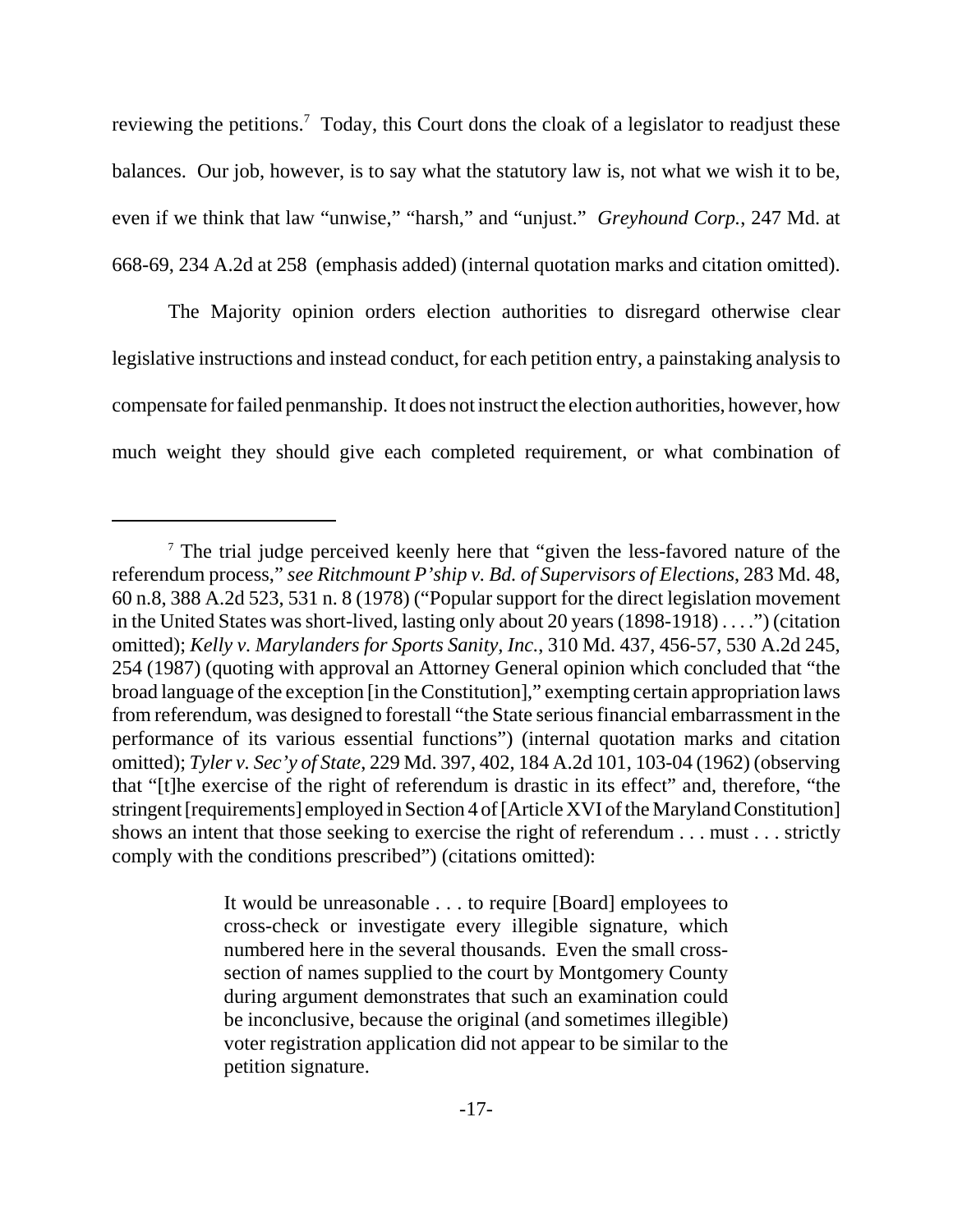reviewing the petitions.<sup>7</sup> Today, this Court dons the cloak of a legislator to readjust these balances. Our job, however, is to say what the statutory law is, not what we wish it to be, even if we think that law "unwise," "harsh," and "unjust." *Greyhound Corp.*, 247 Md. at 668-69, 234 A.2d at 258 (emphasis added) (internal quotation marks and citation omitted).

The Majority opinion orders election authorities to disregard otherwise clear legislative instructions and instead conduct, for each petition entry, a painstaking analysis to compensate for failed penmanship. It does not instruct the election authorities, however, how much weight they should give each completed requirement, or what combination of

<sup>&</sup>lt;sup>7</sup> The trial judge perceived keenly here that "given the less-favored nature of the referendum process," *see Ritchmount P'ship v. Bd. of Supervisors of Elections*, 283 Md. 48, 60 n.8, 388 A.2d 523, 531 n. 8 (1978) ("Popular support for the direct legislation movement in the United States was short-lived, lasting only about 20 years (1898-1918) . . . .") (citation omitted); *Kelly v. Marylanders for Sports Sanity, Inc.*, 310 Md. 437, 456-57, 530 A.2d 245, 254 (1987) (quoting with approval an Attorney General opinion which concluded that "the broad language of the exception [in the Constitution]," exempting certain appropriation laws from referendum, was designed to forestall "the State serious financial embarrassment in the performance of its various essential functions") (internal quotation marks and citation omitted); *Tyler v. Sec'y of State*, 229 Md. 397, 402, 184 A.2d 101, 103-04 (1962) (observing that "[t]he exercise of the right of referendum is drastic in its effect" and, therefore, "the stringent [requirements] employed in Section 4 of [Article XVI of the Maryland Constitution] shows an intent that those seeking to exercise the right of referendum . . . must . . . strictly comply with the conditions prescribed") (citations omitted):

It would be unreasonable . . . to require [Board] employees to cross-check or investigate every illegible signature, which numbered here in the several thousands. Even the small crosssection of names supplied to the court by Montgomery County during argument demonstrates that such an examination could be inconclusive, because the original (and sometimes illegible) voter registration application did not appear to be similar to the petition signature.